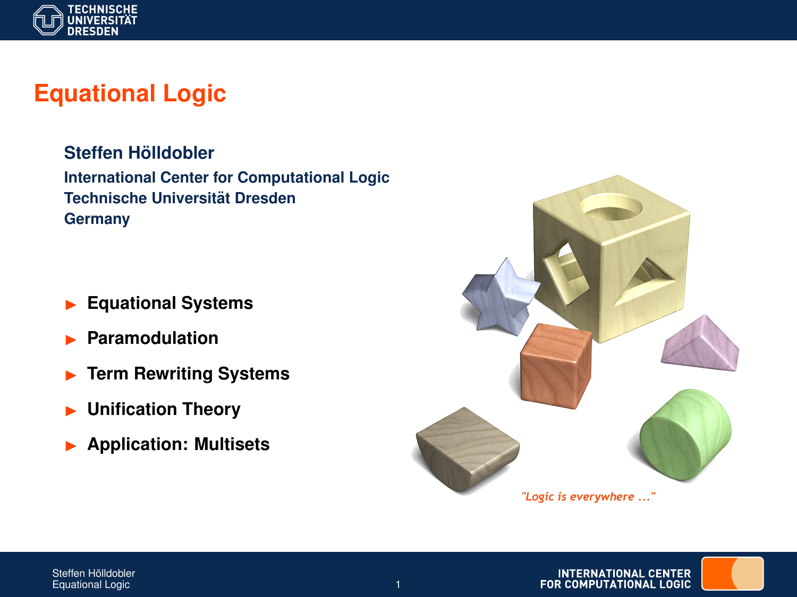

# **Equational Logic**

 $Steffen H<sub>o</sub>$ *ildobler* **International Center for Computational Logic Technische Universitat Dresden ¨ Germany**

- I **Equational Systems**
- I **Paramodulation**
- **Term Rewriting Systems**
- I **Unification Theory**
- I **Application: Multisets**



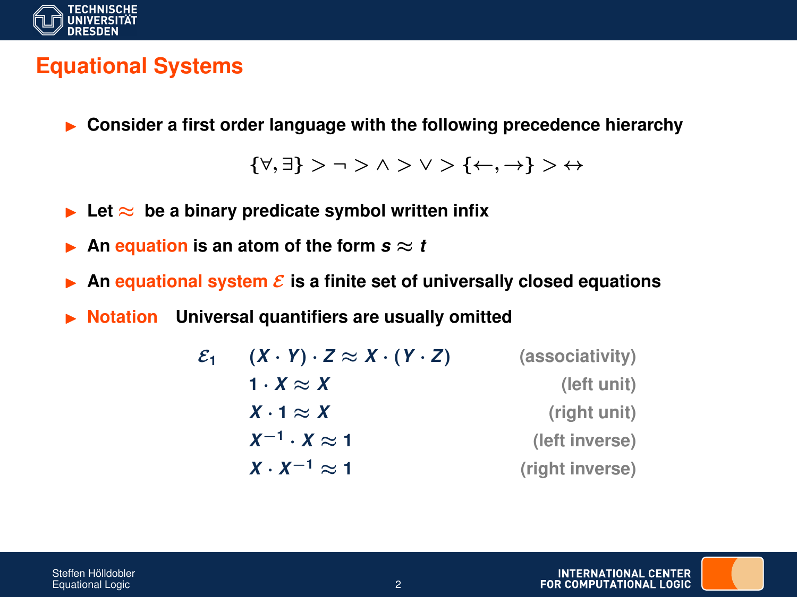

Steffen Hölldobler

## **Equational Systems**

I **Consider a first order language with the following precedence hierarchy**

{∀, ∃} > ¬ > ∧ > ∨ > {←, →} > ↔

- **►** Let  $\approx$  be a binary predicate symbol written infix
- An **equation** is an atom of the form  $s \approx t$
- An **equational system**  $\mathcal{E}$  is a finite set of universally closed equations
- **Notation** Universal quantifiers are usually omitted

| $\mathcal{E}_1$ | $(X \cdot Y) \cdot Z \approx X \cdot (Y \cdot Z)$ | (associativity) |
|-----------------|---------------------------------------------------|-----------------|
|                 | 1 $\cdot$ X $\approx$ X                           | (left unit)     |
|                 | $X \cdot 1 \approx X$                             | (right unit)    |
|                 | $X^{-1} \cdot X \approx 1$                        | (left inverse)  |
|                 | $X \cdot X^{-1} \approx 1$                        | (right inverse) |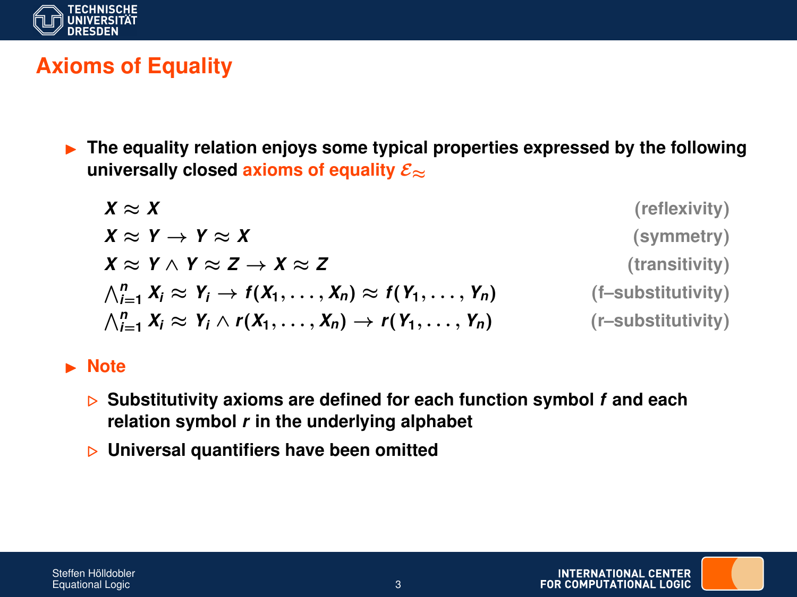

## **Axioms of Equality**

**Fig. 3** The equality relation enjoys some typical properties expressed by the following universally closed axioms of equality  $\mathcal{E}_{\approx}$ 

| $X \approx X$                                                                               | (reflexivity)      |
|---------------------------------------------------------------------------------------------|--------------------|
| $X \approx Y \rightarrow Y \approx X$                                                       | (symmetry)         |
| $X \approx Y \wedge Y \approx Z \rightarrow X \approx Z$                                    | (transitivity)     |
| $\bigwedge_{i=1}^n X_i \approx Y_i \rightarrow f(X_1,\ldots,X_n) \approx f(Y_1,\ldots,Y_n)$ | (f-substitutivity) |
| $\bigwedge_{i=1}^n X_i \approx Y_i \wedge r(X_1,\ldots,X_n) \rightarrow r(Y_1,\ldots,Y_n)$  | (r-substitutivity) |

#### I **Note**

- . **Substitutivity axioms are defined for each function symbol** *f* **and each relation symbol** *r* **in the underlying alphabet**
- . **Universal quantifiers have been omitted**

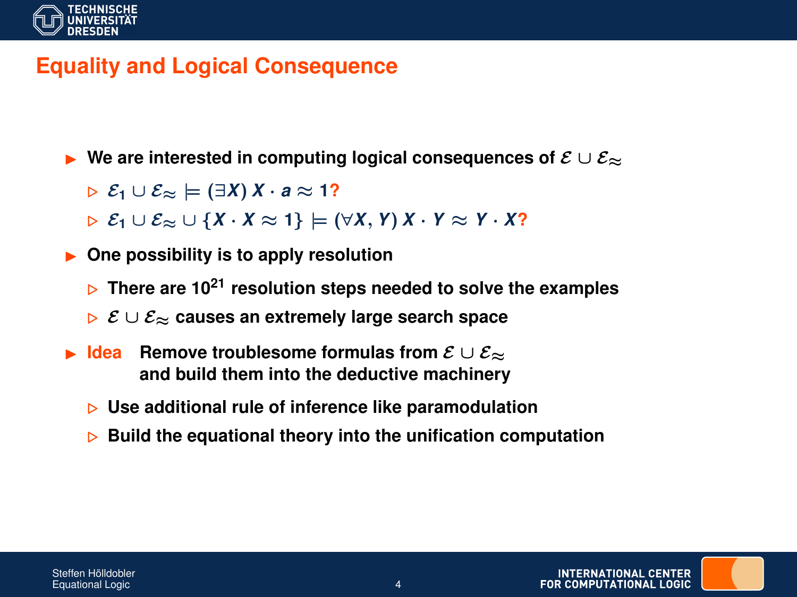

### **Equality and Logical Consequence**

**ID We are interested in computing logical consequences of**  $\mathcal{E} \cup \mathcal{E}_{\infty}$ 

 $\triangleright$   $\mathcal{E}_1 \cup \mathcal{E}_\approx$   $\models$  (∃*X*) *X* · *a*  $\approx$  1?

 $E_1 \cup E_\approx \cup \{X \cdot X \approx 1\}$   $\models (\forall X, Y) X \cdot Y \approx Y \cdot X$ ?

**• One possibility is to apply resolution** 

- . **There are 10<sup>21</sup> resolution steps needed to solve the examples**
- . E ∪ E<sup>≈</sup> **causes an extremely large search space**
- **Idea** Remove troublesome formulas from  $\mathcal{E} \cup \mathcal{E}_{\approx}$ **and build them into the deductive machinery**
	- . **Use additional rule of inference like paramodulation**
	- . **Build the equational theory into the unification computation**

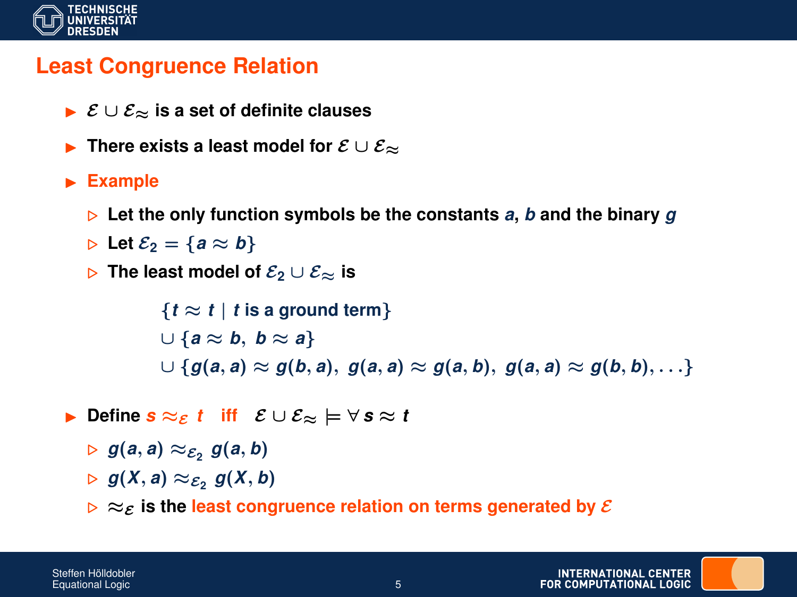

#### **Least Congruence Relation**

- I E ∪ E<sup>≈</sup> **is a set of definite clauses**
- **Figure 1.5** There exists a least model for  $\mathcal{E} \cup \mathcal{E}_{\approx}$

#### **Example**

- $\triangleright$  Let the only function symbols be the constants *a*, *b* and the binary *g*
- $\triangleright$  Let  $\mathcal{E}_2 = \{a \approx b\}$
- **⊳** The least model of  $\mathcal{E}_2 \cup \mathcal{E}_{\approx}$  is

 ${t \approx t | t \text{ is a ground term}}$ ∪ {*a* ≈ *b*, *b* ≈ *a*}  $\cup$  { $g(a, a) \approx g(b, a), g(a, a) \approx g(a, b), g(a, a) \approx g(b, b), \ldots$ }

- **►** Define  $\mathbf{s} \approx_{\varepsilon} t$  iff  $\varepsilon \cup \varepsilon_{\approx} \models \forall \mathbf{s} \approx t$ 
	- $\triangleright$   $g(a, a) \approx_{\mathcal{E}_2} g(a, b)$
	- $\triangleright$   $g(X, a) \approx_{\mathcal{E}_2} g(X, b)$
	- $\triangleright \approx_{\mathcal{E}}$  is the least congruence relation on terms generated by  $\mathcal{E}$

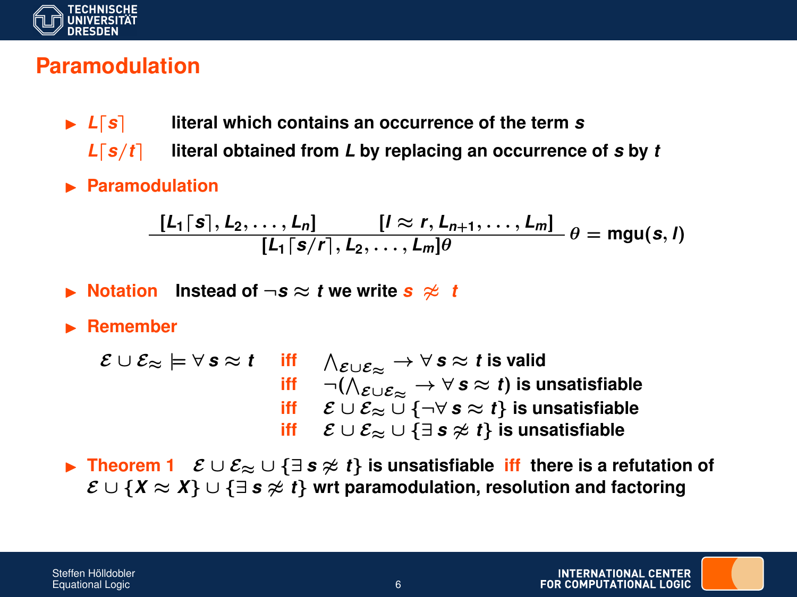

#### **Paramodulation**

- $\blacktriangleright$  *L*[s] literal which contains an occurrence of the term *s* 
	- $L[s/t]$  literal obtained from *L* by replacing an occurrence of *s* by *t*
- **E** Paramodulation

$$
\frac{[L_1\lceil s\rceil, L_2,\ldots, L_n]}{[L_1\lceil s/r\rceil, L_2,\ldots, L_m]\theta} \theta = mgu(s, l)
$$

- **▶** Notation Instead of  $\neg s ≈ t$  we write  $s ≉ t$
- **E** Remember

$$
\mathcal{E} \cup \mathcal{E}_{\approx} \models \forall \, \mathbf{s} \approx t \quad \text{ iff } \quad \bigwedge_{\mathcal{E} \cup \mathcal{E}_{\approx}} \rightarrow \forall \, \mathbf{s} \approx t \text{ is valid}
$$
\n
$$
\text{ iff } \quad \neg (\bigwedge_{\mathcal{E} \cup \mathcal{E}_{\approx}} \rightarrow \forall \, \mathbf{s} \approx t) \text{ is unsatisfiable}
$$
\n
$$
\text{ iff } \quad \mathcal{E} \cup \mathcal{E}_{\approx} \cup \{\neg \forall \, \mathbf{s} \approx t\} \text{ is unsatisfiable}
$$
\n
$$
\text{ iff } \quad \mathcal{E} \cup \mathcal{E}_{\approx} \cup \{\exists \, \mathbf{s} \not\approx t\} \text{ is unsatisfiable}
$$

**►** Theorem 1  $\mathcal{E} \cup \mathcal{E}_{\approx} \cup \{\exists s \not\approx t\}$  is unsatisfiable iff there is a refutation of  $\mathcal{E} \cup \{X \approx X\} \cup \{\exists s \not\approx t\}$  wrt paramodulation, resolution and factoring

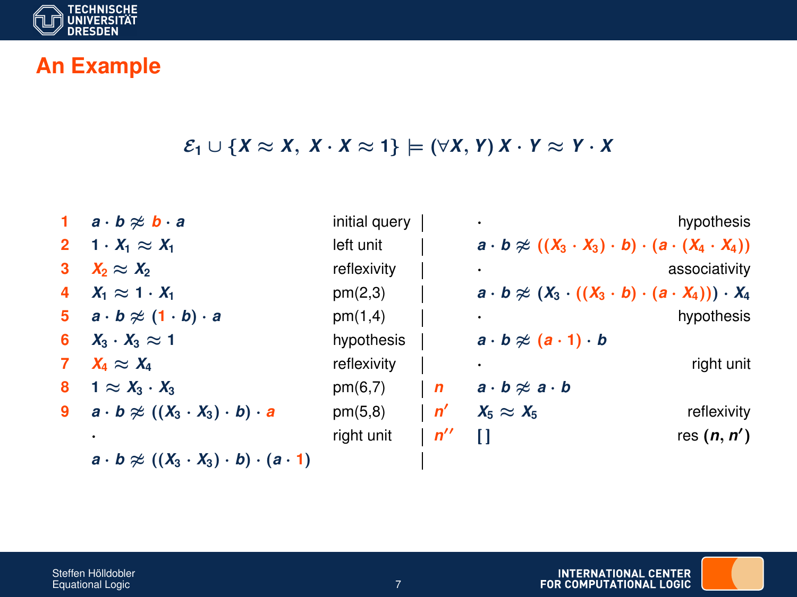

### **An Example**

#### $\mathcal{E}_1 \cup \{X \approx X, X \cdot X \approx 1\} \models (\forall X, Y) X \cdot Y \approx Y \cdot X$

|                                                                |                                                                                                                                                                                                                                    |              |                                                                                | hypothesis                                                                                                                                                    |
|----------------------------------------------------------------|------------------------------------------------------------------------------------------------------------------------------------------------------------------------------------------------------------------------------------|--------------|--------------------------------------------------------------------------------|---------------------------------------------------------------------------------------------------------------------------------------------------------------|
|                                                                | left unit                                                                                                                                                                                                                          |              |                                                                                |                                                                                                                                                               |
| $X_2 \approx X_2$                                              | reflexivity                                                                                                                                                                                                                        |              |                                                                                | associativity                                                                                                                                                 |
|                                                                | pm(2,3)                                                                                                                                                                                                                            |              |                                                                                |                                                                                                                                                               |
|                                                                | pm(1,4)                                                                                                                                                                                                                            |              |                                                                                | hypothesis                                                                                                                                                    |
|                                                                | hypothesis                                                                                                                                                                                                                         |              | $a \cdot b \approx (a \cdot 1) \cdot b$                                        |                                                                                                                                                               |
| $X_4 \approx X_4$                                              | reflexivity                                                                                                                                                                                                                        |              |                                                                                | right unit                                                                                                                                                    |
| $1 \approx X_3 \cdot X_3$                                      | pm(6,7)                                                                                                                                                                                                                            | $\mathsf{I}$ | $a \cdot b \not\approx a \cdot b$                                              |                                                                                                                                                               |
|                                                                | pm(5,8)                                                                                                                                                                                                                            |              | $X_5 \approx X_5$                                                              | reflexivity                                                                                                                                                   |
|                                                                | right unit                                                                                                                                                                                                                         |              | n                                                                              | res $(n, n')$                                                                                                                                                 |
| $a \cdot b \ncong ((X_3 \cdot X_3) \cdot b) \cdot (a \cdot 1)$ |                                                                                                                                                                                                                                    |              |                                                                                |                                                                                                                                                               |
|                                                                | 1 $a \cdot b \approx b \cdot a$<br>2 1 $\cdot X_1 \approx X_1$<br>$X_1 \approx 1 \cdot X_1$<br>5 $a \cdot b \approx (1 \cdot b) \cdot a$<br>6 $X_3 \cdot X_3 \approx 1$<br>9 $a \cdot b \approx ((X_3 \cdot X_3) \cdot b) \cdot a$ |              | initial query $ $<br>$\mathsf{I}$ $\mathsf{n}'$<br>$\mathsf{I}$ $\mathsf{n}$ " | $a \cdot b \ncong ((X_3 \cdot X_3) \cdot b) \cdot (a \cdot (X_4 \cdot X_4))$<br>$a \cdot b \approx (X_3 \cdot ((X_3 \cdot b) \cdot (a \cdot X_4))) \cdot X_4$ |

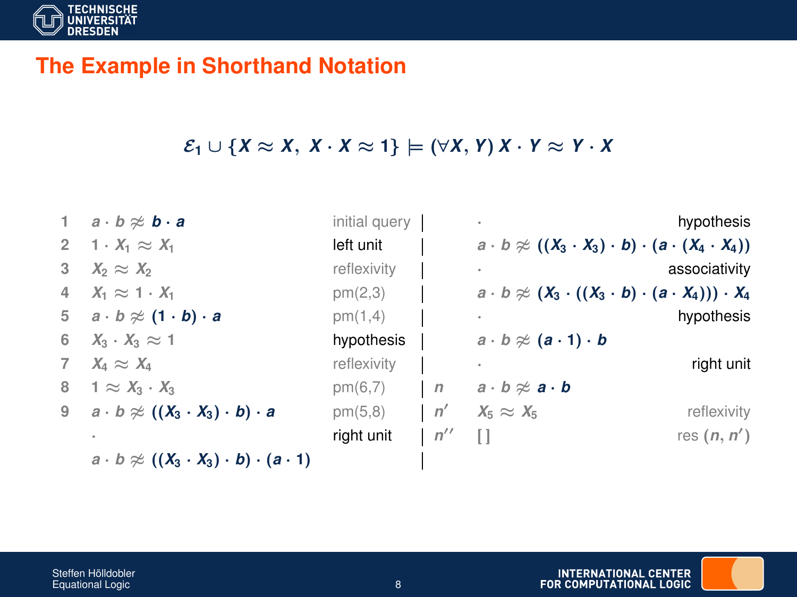

#### **The Example in Shorthand Notation**

#### $\mathcal{E}_1 \cup \{X \approx X, X \cdot X \approx 1\} \models (\forall X, Y) X \cdot Y \approx Y \cdot X$

|   | 1 $a \cdot b \approx b \cdot a$                                 | initial query |     | $\ddot{\phantom{1}}$                                                          | hypothesis    |
|---|-----------------------------------------------------------------|---------------|-----|-------------------------------------------------------------------------------|---------------|
|   | 2 1 $\cdot X_1 \approx X_1$                                     | left unit     |     | $a \cdot b \ncong ((X_3 \cdot X_3) \cdot b) \cdot (a \cdot (X_4 \cdot X_4))$  |               |
| 3 | $X_2 \approx X_2$                                               | reflexivity   |     |                                                                               | associativity |
|   | 4 $X_1 \approx 1 \cdot X_1$                                     | pm(2,3)       |     | $a \cdot b \approx (X_3 \cdot ((X_3 \cdot b) \cdot (a \cdot X_4))) \cdot X_4$ |               |
|   | 5 $a \cdot b \approx (1 \cdot b) \cdot a$                       | pm(1,4)       |     |                                                                               | hypothesis    |
|   | 6 $X_3 \cdot X_3 \approx 1$                                     | hypothesis    |     | $a \cdot b \approx (a \cdot 1) \cdot b$                                       |               |
|   | $X_4 \approx X_4$                                               | reflexivity   |     |                                                                               | right unit    |
| 8 | $1 \approx X_3 \cdot X_3$                                       | pm(6,7)       |     | $  n - a \cdot b \approx a \cdot b$                                           |               |
|   | 9 $a \cdot b \approx ((X_3 \cdot X_3) \cdot b) \cdot a$         | pm(5,8)       |     | $n'$ $X_5 \approx X_5$                                                        | reflexivity   |
|   |                                                                 | right unit    | n'' | $\Box$                                                                        | res $(n, n')$ |
|   | $a \cdot b \approx ((X_3 \cdot X_3) \cdot b) \cdot (a \cdot 1)$ |               |     |                                                                               |               |

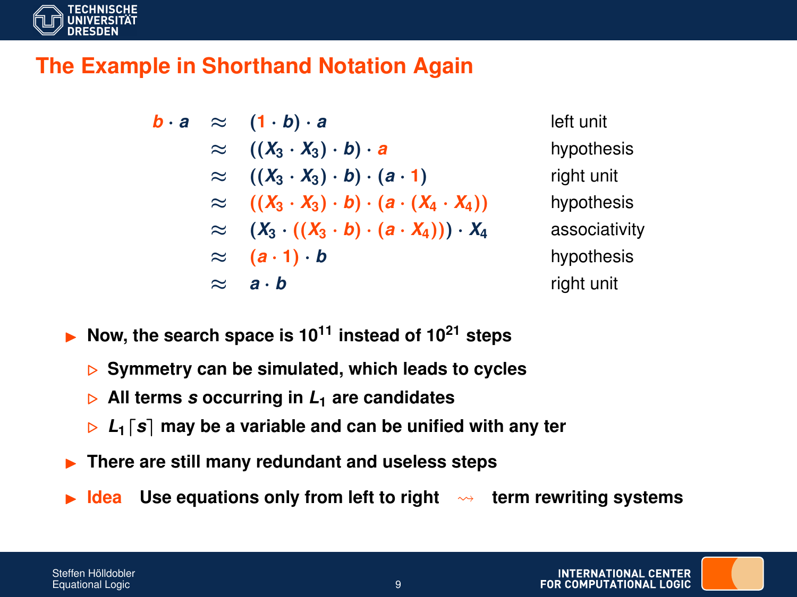

#### **The Example in Shorthand Notation Again**

$$
b \cdot a \approx (1 \cdot b) \cdot a
$$
left unit  
\n
$$
\approx ((X_3 \cdot X_3) \cdot b) \cdot a
$$
hypoth  
\n
$$
\approx ((X_3 \cdot X_3) \cdot b) \cdot (a \cdot 1)
$$
right unit  
\n
$$
\approx ((X_3 \cdot X_3) \cdot b) \cdot (a \cdot (X_4 \cdot X_4))
$$
hypoth  
\n
$$
\approx (X_3 \cdot ((X_3 \cdot b) \cdot (a \cdot X_4))) \cdot X_4
$$
associ  
\n
$$
\approx (a \cdot 1) \cdot b
$$
hypoth  
\n
$$
\approx a \cdot b
$$
right unit

≈ ((*X***<sup>3</sup>** · *X***3**) · *b*) · *a* hypothesis ≈ ((*X***<sup>3</sup>** · *X***3**) · *b*) · (*a* · **1**) right unit ≈ ((*X***<sup>3</sup>** · *X***3**) · *b*) · (*a* · (*X***<sup>4</sup>** · *X***4**)) hypothesis ≈ (*X***<sup>3</sup>** · ((*X***<sup>3</sup>** · *b*) · (*a* · *X***4**))) · *X***<sup>4</sup>** associativity ≈ (*a* · **1**) · *b* hypothesis ≈ *a* · *b* right unit

- I **Now, the search space is 10<sup>11</sup> instead of 10<sup>21</sup> steps**
	- . **Symmetry can be simulated, which leads to cycles**
	- $\triangleright$  All terms *s* occurring in  $L_1$  are candidates
	- $\triangleright$   $L_1$   $\lfloor s \rfloor$  may be a variable and can be unified with any ter
- I **There are still many redundant and useless steps**
- **Idea** Use equations only from left to right  $\rightarrow$  term rewriting systems

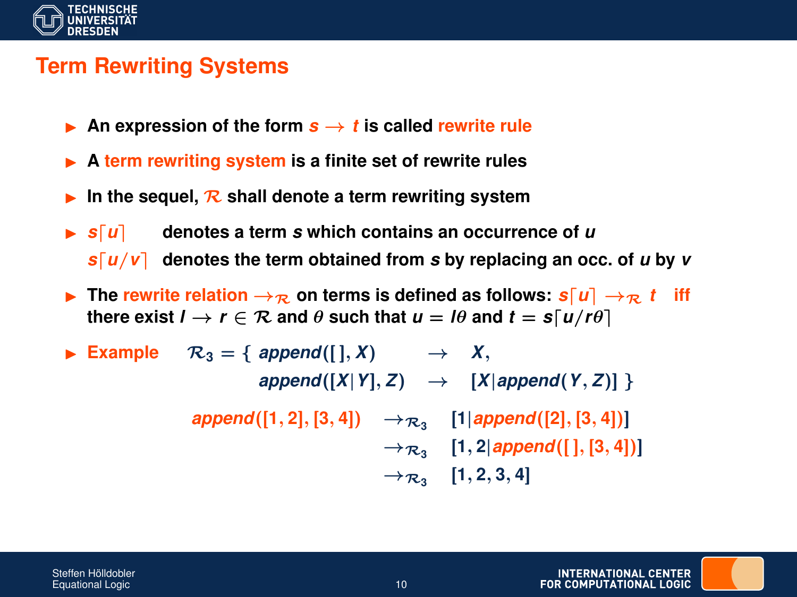

### **Term Rewriting Systems**

- An expression of the form  $s \rightarrow t$  is called rewrite rule
- ▶ A term rewriting system is a finite set of rewrite rules
- In the sequel,  $\mathcal{R}$  shall denote a term rewriting system
- $\triangleright$  **s**[ $u$ ] denotes a term *s* which contains an occurrence of *u* 
	- $s\lceil u/v \rceil$  denotes the term obtained from *s* by replacing an occ. of *u* by *v*
- **F** The rewrite relation  $\rightarrow$ <sub>R</sub> on terms is defined as follows:  $s[u] \rightarrow_{\mathcal{R}} t$  iff **there exist**  $l \rightarrow r \in \mathcal{R}$  and  $\theta$  such that  $u = l\theta$  and  $t = s\lceil u/r\theta \rceil$
- ▶ Example  $\mathcal{R}_3 = \{ \text{ append}([\cdot], X) \rightarrow X, \}$  $append([X|Y], Z) \rightarrow [X|append(Y, Z)]$  $\bm{append([1, 2], [3, 4])} \rightarrow_{\mathcal{R}_3} [\bm{1} | \bm{append([2], [3, 4])}]$  $\rightarrow$   $\mathcal{R}_3$  [1, 2|append([], [3, 4])]  $\rightarrow \mathcal{R}_3$  [1, 2, 3, 4]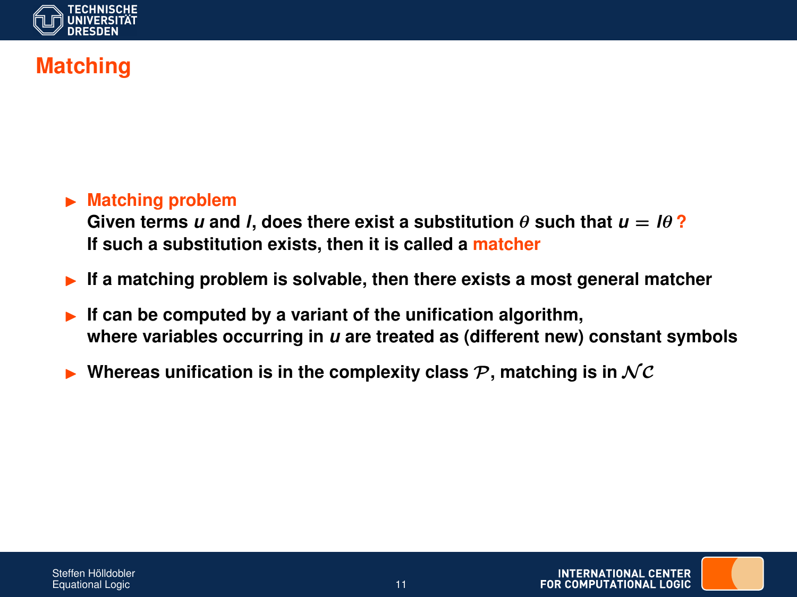

## **Matching**

#### **E** Matching problem

Given terms *u* and *l*, does there exist a substitution  $\theta$  such that  $u = l\theta$ ? **If such a substitution exists, then it is called a matcher**

- If a matching problem is solvable, then there exists a most general matcher
- If can be computed by a variant of the unification algorithm, **where variables occurring in** *u* **are treated as (different new) constant symbols**
- Whereas unification is in the complexity class  $P$ , matching is in  $NC$

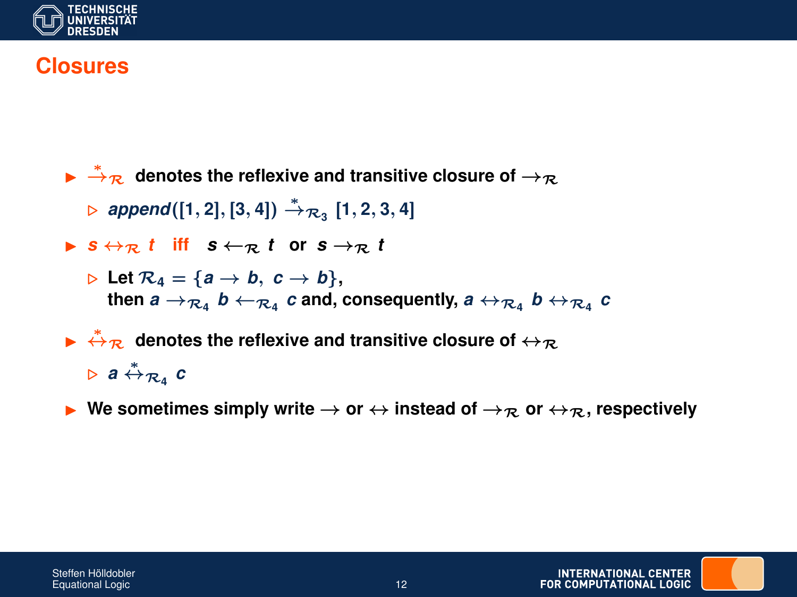

#### **Closures**

- $\blacktriangleright$   $\stackrel{*}{\rightarrow}_\mathcal{R}$  denotes the reflexive and transitive closure of  $\rightarrow_\mathcal{R}$  $\triangleright$  **append**([1, 2], [3, 4])  $\stackrel{*}{\rightarrow} \pi$ <sub>3</sub> [1, 2, 3, 4]  $\triangleright$  *s*  $\leftrightarrow$ <sub>R</sub> *t* **iff**  $s \leftarrow$ <sub>R</sub> *t* or  $s \rightarrow$ <sub>R</sub> *t*  $\triangleright$  Let  $\mathcal{R}_4 = \{a \rightarrow b, c \rightarrow b\}$ ,  ${\bf b}$  then  ${\bf a}\to_{\mathcal R_4}{\bf b}\leftarrow_{\mathcal R_4}{\bf c}$  and, consequently,  ${\bf a}\leftrightarrow_{\mathcal R_4}{\bf b}\leftrightarrow_{\mathcal R_4}{\bf c}$  $\blacktriangleright$   $\stackrel{*}{\leftrightarrow}\pi$  denotes the reflexive and transitive closure of  $\leftrightarrow_\mathcal{R}$ . *<sup>a</sup>* <sup>↔</sup><sup>∗</sup> R**<sup>4</sup>** *c*
- **I** We sometimes simply write  $\rightarrow$  or  $\leftrightarrow$  instead of  $\rightarrow$ <sub>R</sub> or  $\leftrightarrow$ <sub>R</sub>, respectively



INTERNATIONAL CENTER **FOR COMPLITATIONAL LOGIC**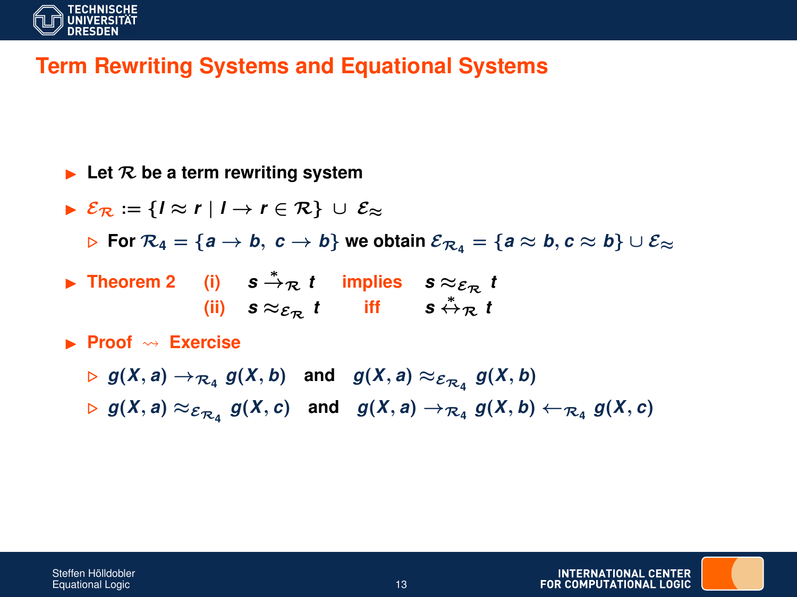

## **Term Rewriting Systems and Equational Systems**

- $\blacktriangleright$  Let  $\mathcal R$  be a term rewriting system
- $\triangleright$   $\mathcal{E}_{\mathcal{D}} := \{ |\approx r | | \rightarrow r \in \mathcal{R} \} \cup \mathcal{E}_{\approx}$

**For**  $\mathcal{R}_4 = \{a \to b, c \to b\}$  we obtain  $\mathcal{E}_{\mathcal{R}_4} = \{a \approx b, c \approx b\} \cup \mathcal{E}_{\approx}$ 

- **►** Theorem 2 (i)  $s \stackrel{*}{\rightarrow} \mathcal{R} t$  implies  $s \approx_{\mathcal{E}_{\mathcal{R}}} t$ **(ii)**  $s \approx_{\mathcal{E}_{\mathcal{R}}} t$  iff  $s \stackrel{*}{\leftrightarrow}_{\mathcal{R}} t$
- **Exercise**

Steffen Hölldobler

- $\Rightarrow$   $g(X, a) \rightarrow_{\mathcal{R}_4} g(X, b)$  and  $g(X, a) \approx_{\mathcal{E}_{\mathcal{R}_4}} g(X, b)$
- $\Rightarrow$   $g(X, a) \approx_{\mathcal{E}_{\mathcal{R}_4}} g(X, c)$  and  $g(X, a) \rightarrow_{\mathcal{R}_4} g(X, b) \leftarrow_{\mathcal{R}_4} g(X, c)$

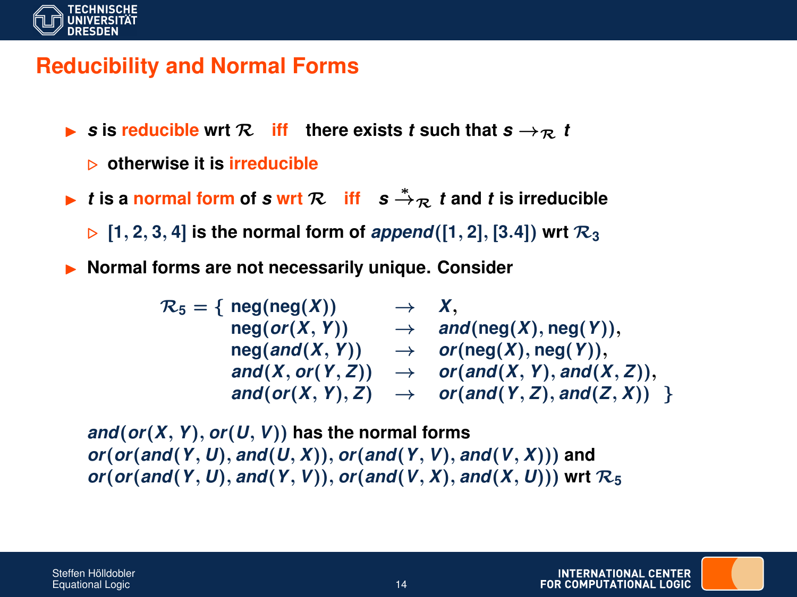

### **Reducibility and Normal Forms**

- $\blacktriangleright$  **s** is reducible wrt  $\mathcal{R}$  iff there exists *t* such that  $s \rightarrow_{\mathcal{R}} t$ 
	- . **otherwise it is irreducible**
- <sup>I</sup> *<sup>t</sup>* **is a normal form of** *<sup>s</sup>* **wrt** <sup>R</sup> **iff** *<sup>s</sup>* <sup>→</sup><sup>∗</sup> <sup>R</sup> *t* **and** *t* **is irreducible**

 $\triangleright$  [1, 2, 3, 4] is the normal form of *append*([1, 2], [3.4]) wrt  $\mathcal{R}_3$ 

I **Normal forms are not necessarily unique. Consider**

 $\mathcal{R}_5 = \{ \text{ neg}(\text{neg}(X)) \rightarrow X,$  $\mathsf{neg}(or(X, Y)) \rightarrow \mathsf{and}(\mathsf{neg}(X), \mathsf{neg}(Y)),$  $neg( and (X, Y))$   $\rightarrow$   $or( neg(X), neg(Y)),$  $\alpha$ *and*(*X*, *or*(*Y*, *Z*))  $\rightarrow$  *or*(*and*(*X*, *Y*), *and*(*X*, *Z*)),  $\alpha$ *and*(*or*(*X*, *Y*), *Z*)  $\rightarrow$  *or*(*and*(*Y*, *Z*), *and*(*Z*, *X*)) }

*and*(*or*(*X*, *Y*), *or*(*U*, *V*)) **has the normal forms** *or*(*or*(*and*(*Y*, *U*), *and*(*U*, *X*)), *or*(*and*(*Y*, *V*), *and*(*V*, *X*))) **and**  $or$ ( $or$ ( $and$ ( $Y$ ,  $U$ ),  $and$ ( $Y$ ,  $V$ )),  $or$ ( $and$ ( $V$ ,  $X$ ),  $and$ ( $X$ ,  $U$ )))  $wrt \mathcal{R}_5$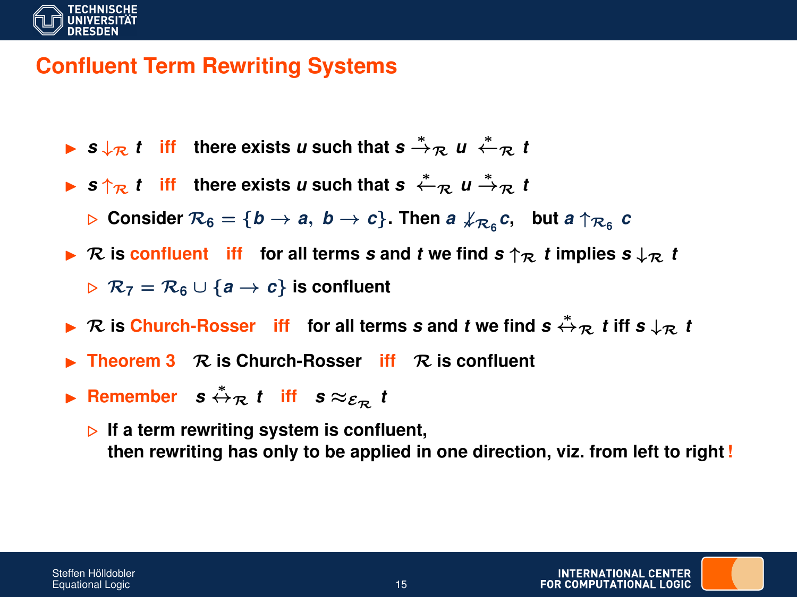

### **Confluent Term Rewriting Systems**

- **►**  $s \downarrow \mathcal{R}$  *t* iff there exists *u* such that  $s \stackrel{*}{\rightarrow} \mathcal{R}$  *u*  $\stackrel{*}{\leftarrow} \mathcal{R}$  *t*
- **►**  $s \uparrow_{\mathcal{R}} t$  iff there exists *u* such that  $s \stackrel{*}{\leftarrow}_{\mathcal{R}} u \stackrel{*}{\rightarrow}_{\mathcal{R}} t$ 
	- $\triangleright$  Consider  $\mathcal{R}_6 = \{b \to a,~b \to c\}$ . Then  $a \not\downarrow_{\mathcal{R}_6} c$ , but  $a \uparrow_{\mathcal{R}_6} c$
- $\triangleright$  R is confluent iff for all terms *s* and *t* we find  $s \uparrow_R t$  implies  $s \downarrow_R t$  $\triangleright$   $\mathcal{R}_7 = \mathcal{R}_6 \cup \{a \rightarrow c\}$  is confluent
- <sup>I</sup> <sup>R</sup> **is Church-Rosser iff for all terms** *<sup>s</sup>* **and** *<sup>t</sup>* **we find** *<sup>s</sup>* <sup>↔</sup><sup>∗</sup> <sup>R</sup> *t* **iff** *s* ↓<sup>R</sup> *t*
- I **Theorem 3** R **is Church-Rosser iff** R **is confluent**
- **F** Remember  $s \stackrel{*}{\leftrightarrow}_{\mathcal{R}} t$  iff  $s \approx_{\mathcal{E}_{\mathcal{R}}} t$ 
	- **If a term rewriting system is confluent, then rewriting has only to be applied in one direction, viz. from left to right!**

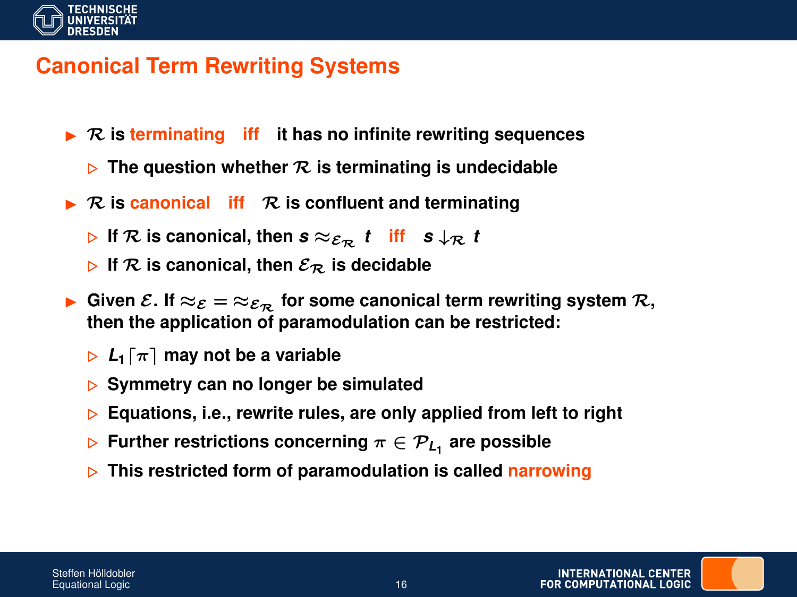

### **Canonical Term Rewriting Systems**

- $\triangleright$  R is terminating iff it has no infinite rewriting sequences
	- $\triangleright$  The question whether  $\mathcal R$  is terminating is undecidable
- $\triangleright$  R is canonical if R is confluent and terminating
	- $\triangleright$  If  $\mathcal{R}$  is canonical, then  $s \approx_{\mathcal{E}_{\mathcal{R}}} t$  iff  $s \downarrow_{\mathcal{R}} t$
	- $\triangleright$  If  $\mathcal{R}$  is canonical, then  $\mathcal{E}_{\mathcal{R}}$  is decidable
- **►** Given  $\mathcal{E}$ . If  $\approx_{\mathcal{E}} = \approx_{\mathcal{E}_{\mathcal{D}}}$  for some canonical term rewriting system  $\mathcal{R}$ , **then the application of paramodulation can be restricted:**
	- $\triangleright$   $L_1[\pi]$  may not be a variable
	- . **Symmetry can no longer be simulated**
	- **▷ Equations, i.e., rewrite rules, are only applied from left to right**
	- $\triangleright$  Further restrictions concerning  $\pi \in \mathcal{P}_{L_1}$  are possible
	- . **This restricted form of paramodulation is called narrowing**

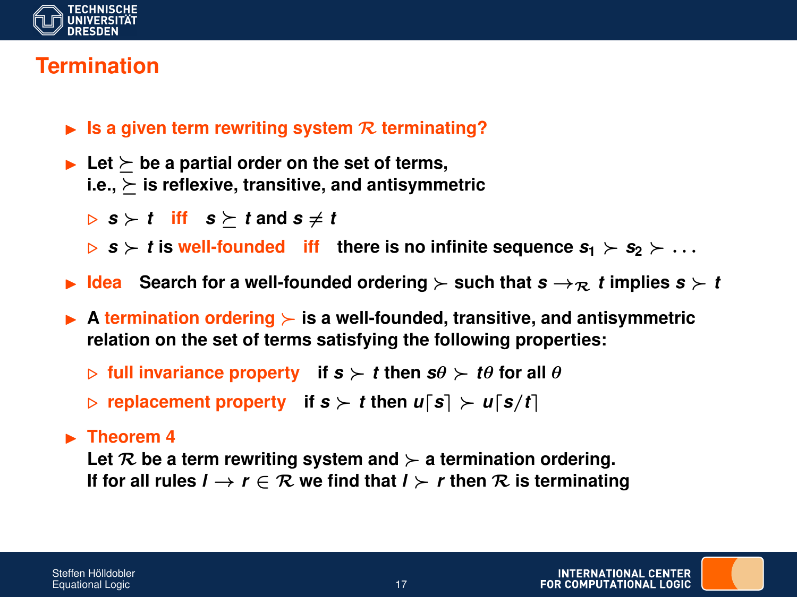

## **Termination**

- $\blacktriangleright$  **Is a given term rewriting system**  $\mathcal{R}$  **terminating?**
- $\blacktriangleright$  Let  $\succ$  be a partial order on the set of terms,  $i.e., \succ$  is reflexive, transitive, and antisymmetric
	- $\triangleright$  **s**  $\succ$  **t** iff **s**  $\succ$  **t** and **s**  $\neq$  **t**
	- $\triangleright$  **s**  $\triangleright$  **i** is well-founded iff there is no infinite sequence  $s_1 \triangleright s_2 \triangleright \ldots$
- $\blacktriangleright$  **Idea** Search for a well-founded ordering  $\succ$  such that  $s \rightarrow \mathbb{R}$  *t* implies  $s \succ t$
- **A termination ordering**  $\succ$  is a well-founded, transitive, and antisymmetric **relation on the set of terms satisfying the following properties:**
	- $\triangleright$  full invariance property if  $s \succ t$  then  $s\theta \succ t\theta$  for all  $\theta$
	- $\triangleright$  replacement property if  $s \succ t$  then  $u[s] \succ u[s/t]$

#### $\blacktriangleright$  **Theorem 4**

Let  $R$  be a term rewriting system and  $\succ$  a termination ordering. **If for all rules**  $l \rightarrow r \in \mathcal{R}$  we find that  $l \succ r$  then  $\mathcal{R}$  is terminating

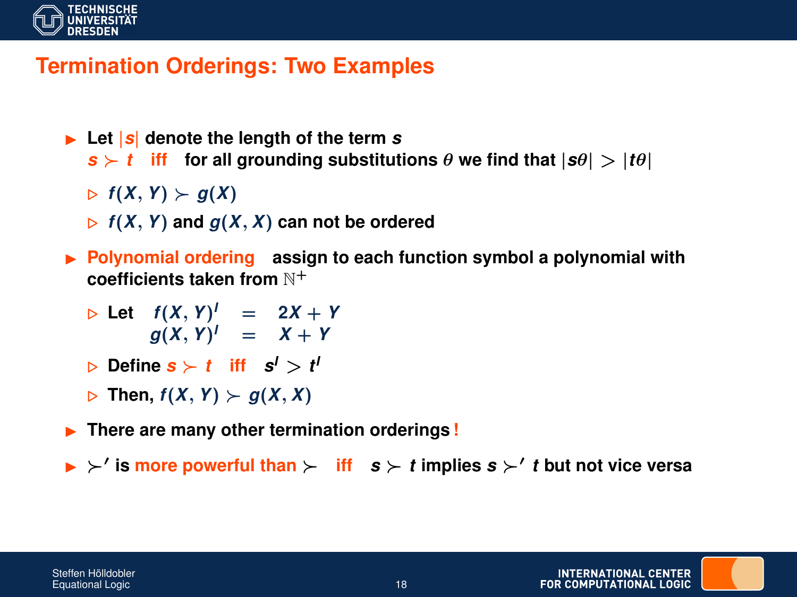

### **Termination Orderings: Two Examples**

- $\blacktriangleright$  Let  $|\boldsymbol{s}|$  denote the length of the term  $\boldsymbol{s}$  $s \succ t$  **iff** for all grounding substitutions  $\theta$  we find that  $|s\theta| > |t\theta|$ 
	- $\triangleright$   $f(X, Y) \succ g(X)$
	- $\triangleright$   $f(X, Y)$  and  $g(X, X)$  can not be ordered
- **Polynomial ordering** assign to each function symbol a polynomial with **coefficients taken from** N<sup>+</sup>
	- $\triangleright$  Let  $f(X, Y)^{I} = 2X + Y$  $g(X, Y)^{I} = X + Y$
	- $\triangleright$  Define  $\boldsymbol{s}\succ t$  iff  $\boldsymbol{s}^l > t^l$
	- $\triangleright$  Then,  $f(X, Y) \succ g(X, X)$
- **Figure 1.5** There are many other termination orderings!
- $\triangleright$  is more powerful than  $\succ$  iff  $s \succ t$  implies  $s \succ' t$  but not vice versa

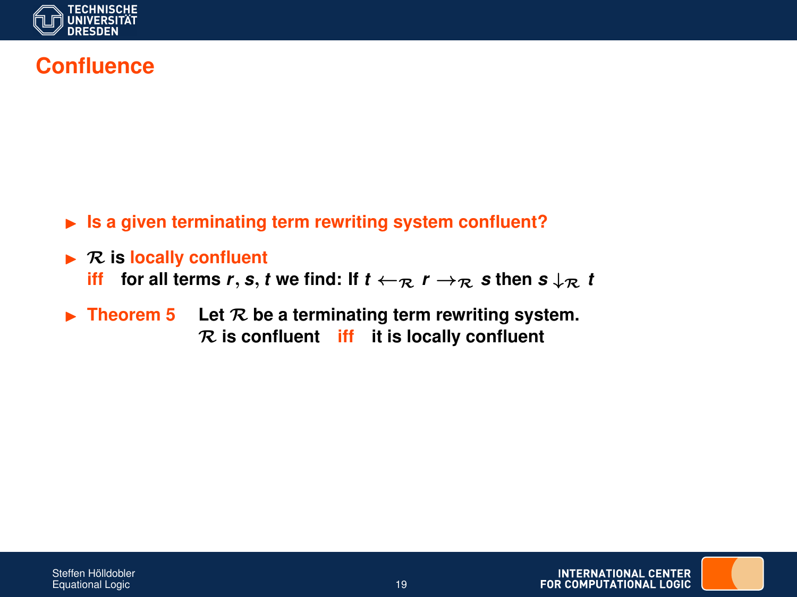

### **Confluence**

- ► Is a given terminating term rewriting system confluent?
- $\triangleright$  **R** is locally confluent **iff** for all terms *r*, *s*, *t* we find: If  $t \leftarrow \mathbb{R}$   $r \rightarrow \mathbb{R}$  *s* then  $s \downarrow \mathbb{R}$  *t*
- $\triangleright$  **Theorem 5** Let  $\mathcal{R}$  be a terminating term rewriting system. R **is confluent iff it is locally confluent**

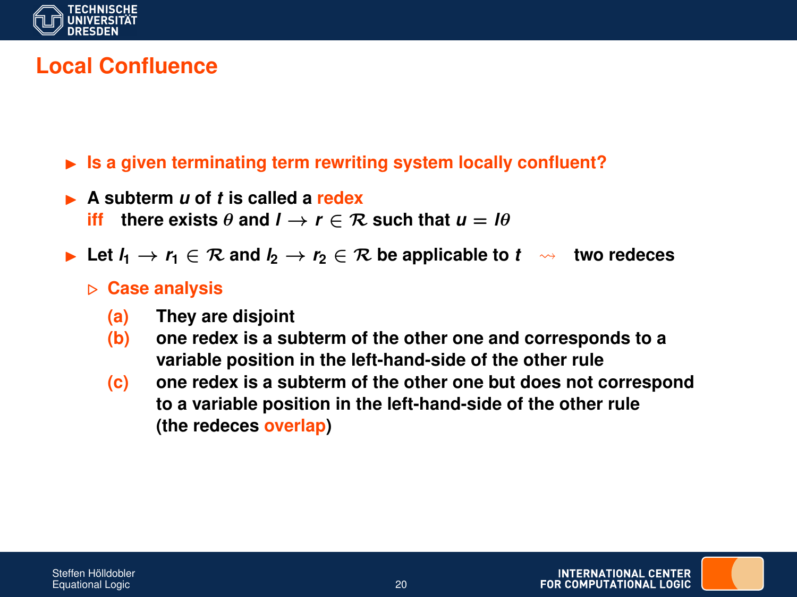

### **Local Confluence**

- ► Is a given terminating term rewriting system locally confluent?
- I **A subterm** *u* **of** *t* **is called a redex iff** there exists  $\theta$  and  $I \rightarrow r \in \mathcal{R}$  such that  $u = I\theta$ 
	-
- **►** Let  $l_1$   $\rightarrow$   $r_1$   $\in$   $\mathcal{R}$  and  $l_2$   $\rightarrow$   $r_2$   $\in$   $\mathcal{R}$  be applicable to  $t \rightsquigarrow$  two redeces

#### . **Case analysis**

- **(a) They are disjoint**
- **(b) one redex is a subterm of the other one and corresponds to a variable position in the left-hand-side of the other rule**
- **(c) one redex is a subterm of the other one but does not correspond to a variable position in the left-hand-side of the other rule (the redeces overlap)**

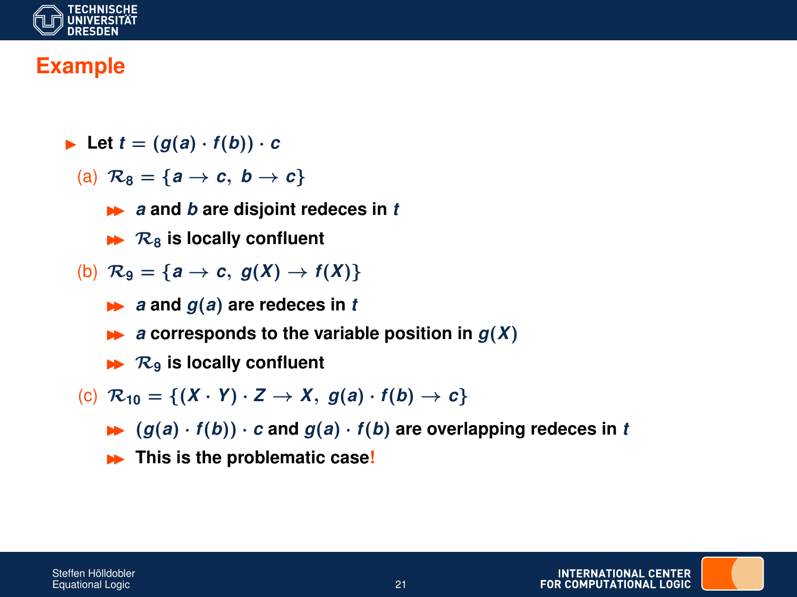

### **Example**

- $\blacktriangleright$  Let  $t = (g(a) \cdot f(b)) \cdot c$ 
	- (a)  $\mathcal{R}_8 = \{a \rightarrow c, b \rightarrow c\}$ 
		- **►** *a* and *b* are disjoint redeces in *t*
		- $\blacktriangleright$   $\mathcal{R}_8$  is locally confluent
	- (b)  $\mathcal{R}_9 = \{a \rightarrow c, g(X) \rightarrow f(X)\}\$ 
		- $\rightarrow$  *a* **and**  $g(a)$  **are redeces in** *t*
		- $\rightarrow$  *a* corresponds to the variable position in  $q(X)$
		- $\blacktriangleright$   $\mathcal{R}_9$  is locally confluent
	- (c)  $\mathcal{R}_{10} = \{(X \cdot Y) \cdot Z \rightarrow X, g(a) \cdot f(b) \rightarrow c\}$ 
		- $\blacktriangleright$   $(g(a) \cdot f(b)) \cdot c$  and  $g(a) \cdot f(b)$  are overlapping redeces in *t*
		- **In This is the problematic case!**

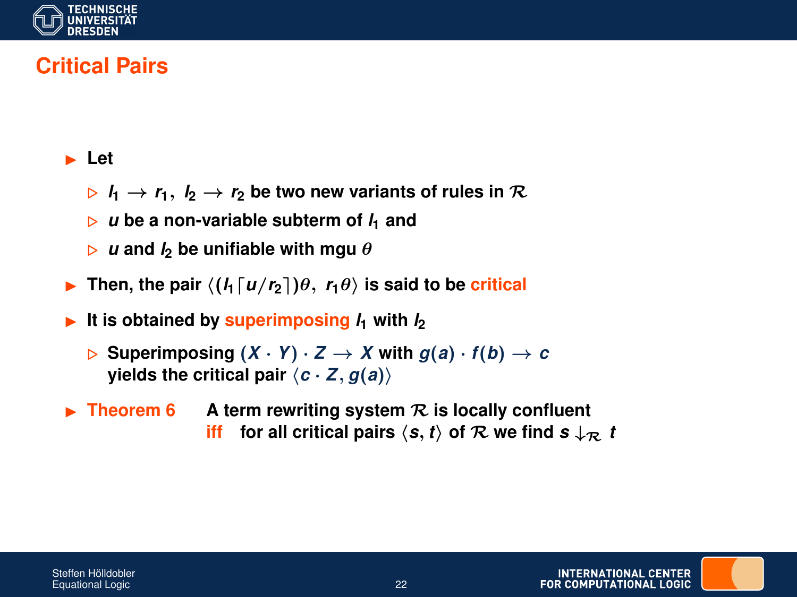

## **Critical Pairs**

#### **Execute**

- $\triangleright$   $l_1 \rightarrow r_1$ ,  $l_2 \rightarrow r_2$  be two new variants of rules in  $\mathcal{R}$
- $\triangleright$  u be a non-variable subterm of  $I_1$  and
- $\triangleright$  *u* and *l*<sub>2</sub> be unifiable with mgu  $\theta$
- Then, the pair  $\langle (l_1 \lceil u/r_2 \rceil) \theta, r_1 \theta \rangle$  is said to be critical
- It is obtained by superimposing  $l_1$  with  $l_2$ 
	- $\triangleright$  Superimposing  $(X \cdot Y) \cdot Z \rightarrow X$  with  $q(a) \cdot f(b) \rightarrow c$ **yields the critical pair**  $\langle c \cdot Z, g(a) \rangle$
- $\triangleright$  **Theorem 6** A term rewriting system  $\mathcal{R}$  is locally confluent **iff** for all critical pairs  $\langle s, t \rangle$  of R we find  $s \downarrow R$  t

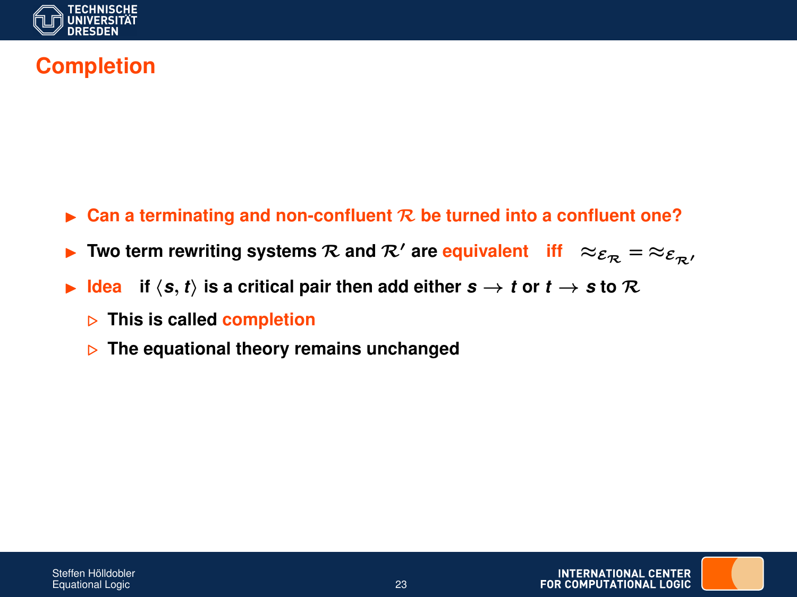

## **Completion**

- I **Can a terminating and non-confluent** R **be turned into a confluent one?**
- Two term rewriting systems  $\mathcal{R}$  and  $\mathcal{R}'$  are equivalent **iff**  $\approx_{\mathcal{E}_R} = \approx_{\mathcal{E}_R}$
- $\blacktriangleright$  **Idea** if  $\langle s, t \rangle$  is a critical pair then add either  $s \to t$  or  $t \to s$  to R
	- . **This is called completion**
	- . **The equational theory remains unchanged**

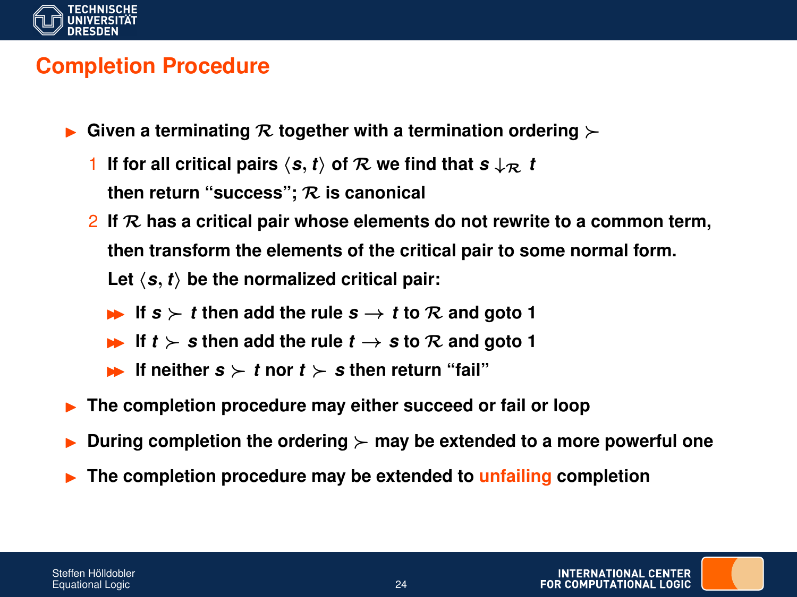

#### **Completion Procedure**

- Given a terminating  $R$  together with a termination ordering  $\succ$ 
	- 1 **If for all critical pairs**  $\langle s, t \rangle$  of R we find that  $s \downarrow R$  t **then return "success";** R **is canonical**
	- 2 **If** R **has a critical pair whose elements do not rewrite to a common term, then transform the elements of the critical pair to some normal form.** Let  $\langle s, t \rangle$  be the normalized critical pair:
		- If  $s \succ t$  then add the rule  $s \rightarrow t$  to R and goto 1
		- **■** If  $t \succ s$  then add the rule  $t \rightarrow s$  to R and goto 1
		- **If neither**  $s \succ t$  **nor**  $t \succ s$  then return "fail"
- **Fig. 2** The completion procedure may either succeed or fail or loop
- During completion the ordering  $\succ$  may be extended to a more powerful one
- I **The completion procedure may be extended to unfailing completion**

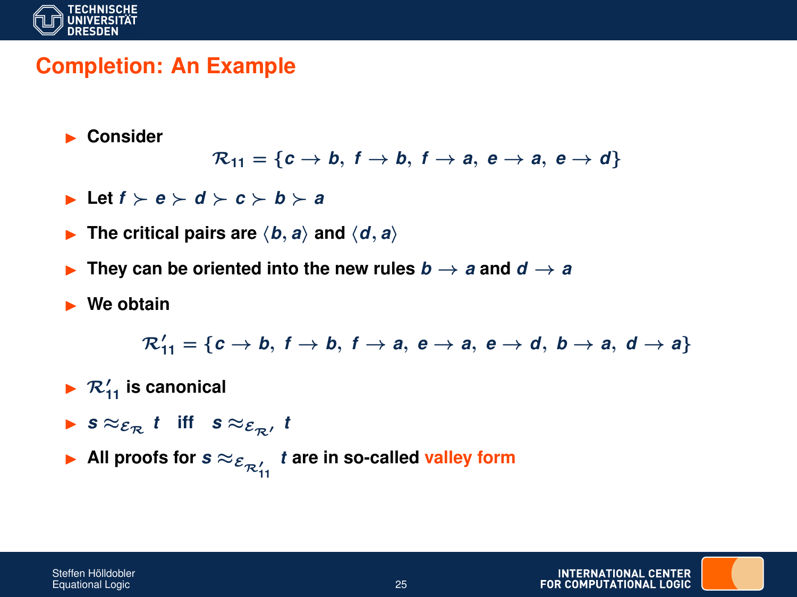

#### **Completion: An Example**

**Consider** 

$$
\mathcal{R}_{11} = \{c \rightarrow b, f \rightarrow b, f \rightarrow a, e \rightarrow a, e \rightarrow d\}
$$

- $\blacktriangleright$  **Let**  $f \succ e \succ d \succ c \succ b \succ a$
- **Fig. The critical pairs are**  $\langle b, a \rangle$  and  $\langle d, a \rangle$
- **Figure 1.1** They can be oriented into the new rules  $b \rightarrow a$  and  $d \rightarrow a$
- **Ne obtain**

$$
\mathcal{R}'_{11} = \{c \rightarrow b, f \rightarrow b, f \rightarrow a, e \rightarrow a, e \rightarrow d, b \rightarrow a, d \rightarrow a\}
$$

- $\blacktriangleright$   $\mathcal{R}'_{11}$  is canonical
- **►**  $s \approx_{\mathcal{E}_{\mathcal{R}}} t$  iff  $s \approx_{\mathcal{E}_{\mathcal{R}}'} t$
- ▶ All proofs for  $s \approx_{\mathcal{E}_{\mathcal{R}'_{11}}} t$  are in so-called valley form

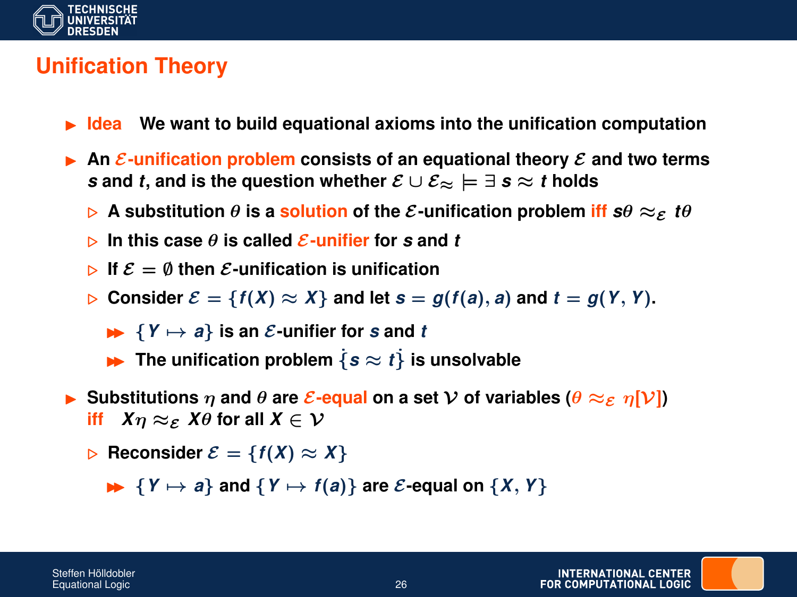

### **Unification Theory**

- **Idea** We want to build equational axioms into the unification computation
- **An** E-unification problem consists of an equational theory  $\mathcal E$  and two terms *s* and *t*, and is the question whether  $\mathcal{E} \cup \mathcal{E}_{\approx} \models \exists s \approx t$  holds
	- $\triangleright$  A substitution  $\theta$  is a solution of the E-unification problem iff  $s\theta \approx_{\mathcal{E}} t\theta$
	- $\triangleright$  In this case  $\theta$  is called E-unifier for s and t
	- $\triangleright$  If  $\mathcal{E} = \emptyset$  then  $\mathcal{E}$ -unification is unification
	- **Consider**  $\mathcal{E} = \{f(X) \approx X\}$  and let  $s = g(f(a), a)$  and  $t = g(Y, Y)$ .
		- $\blacktriangleright$   $\{Y \mapsto a\}$  is an *E*-unifier for *s* and *t*
		- **IF The unification problem**  $\{s \approx t\}$  is unsolvable
- $\triangleright$  Substitutions  $\eta$  and  $\theta$  are  $\mathcal{E}$ -equal on a set  $\mathcal{V}$  of variables  $(\theta \approx_{\mathcal{E}} \eta[\mathcal{V}])$ **iff**  $X_{\eta} \approx_{\mathcal{E}} X_{\theta}$  for all  $X \in \mathcal{V}$ 
	- $\triangleright$  **Reconsider**  $\mathcal{E} = \{f(X) \approx X\}$

 $\blacktriangleright$  {*Y*  $\mapsto$  *a*} and {*Y*  $\mapsto$  *f*(*a*)} are *E*-equal on {*X*, *Y*}

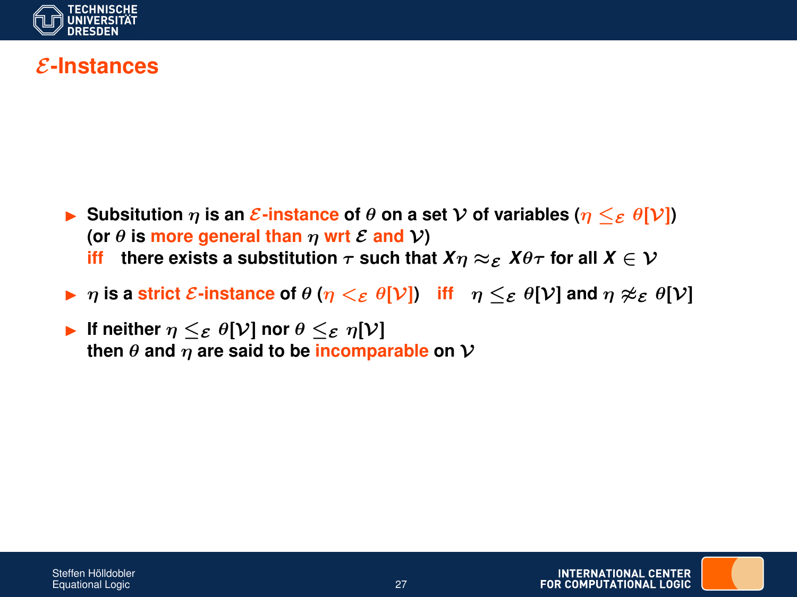

#### E**-Instances**

- $\triangleright$  Subsitution  $\eta$  is an  $\mathcal{E}\text{-instance of }\theta$  on a set V of variables  $(\eta \leq_{\mathcal{E}} \theta[\mathcal{V}])$ **(or**  $\theta$  **is more general than**  $\eta$  **wrt**  $\mathcal{E}$  **and**  $\mathcal{V}$ **)** 
	- **iff** there exists a substitution  $\tau$  such that  $X\eta \approx_{\mathcal{E}} X\theta\tau$  for all  $X \in \mathcal{V}$
- $\triangleright$   $\eta$  is a strict E-instance of  $\theta$  ( $\eta \lt_{\mathcal{E}} \theta[\mathcal{V}]$ ) iff  $\eta \lt_{\mathcal{E}} \theta[\mathcal{V}]$  and  $\eta \not\approx_{\mathcal{E}} \theta[\mathcal{V}]$
- **If neither**  $\eta \leq_{\mathcal{E}} \theta[\mathcal{V}]$  nor  $\theta \leq_{\mathcal{E}} \eta[\mathcal{V}]$ **then**  $\theta$  **and**  $\eta$  **are said to be incomparable** on  $\mathcal V$

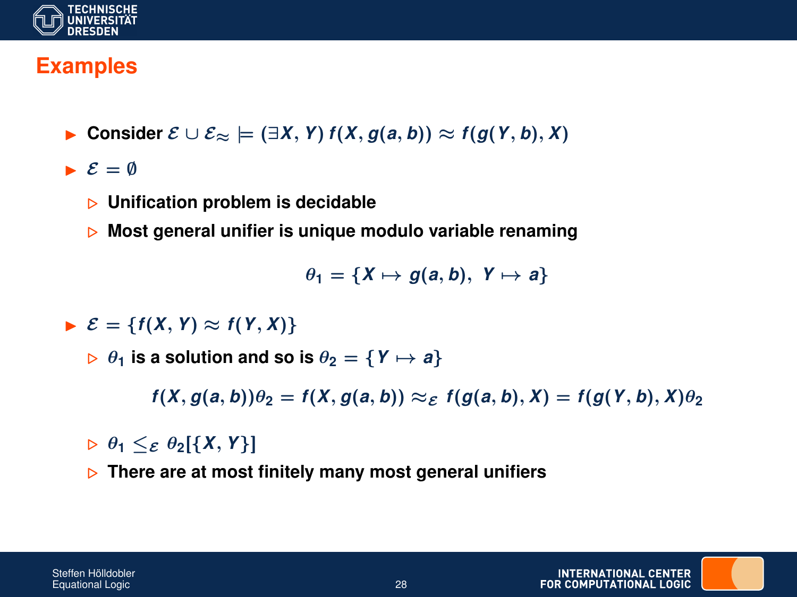

### **Examples**

- **Consider**  $\mathcal{E} \cup \mathcal{E}_{\approx} \models (\exists X, Y) f(X, q(a, b)) \approx f(q(Y, b), X)$
- $\mathcal{E} = \emptyset$ 
	- . **Unification problem is decidable**
	- $\triangleright$  Most general unifier is unique modulo variable renaming

 $\theta_1 = \{X \mapsto g(a, b), Y \mapsto a\}$ 

- $\triangleright$   $\mathcal{E} = \{f(X, Y) \approx f(Y, X)\}\$ 
	- $\triangleright$   $\theta_1$  is a solution and so is  $\theta_2 = \{ Y \mapsto a \}$

 $f(X, g(a, b))\theta_2 = f(X, g(a, b)) \approx_{\mathcal{E}} f(g(a, b), X) = f(g(Y, b), X)\theta_2$ 

- $\triangleright$   $\theta_1 \leq_{\mathcal{E}} \theta_2[\{X, Y\}]$
- **▶ There are at most finitely many most general unifiers**

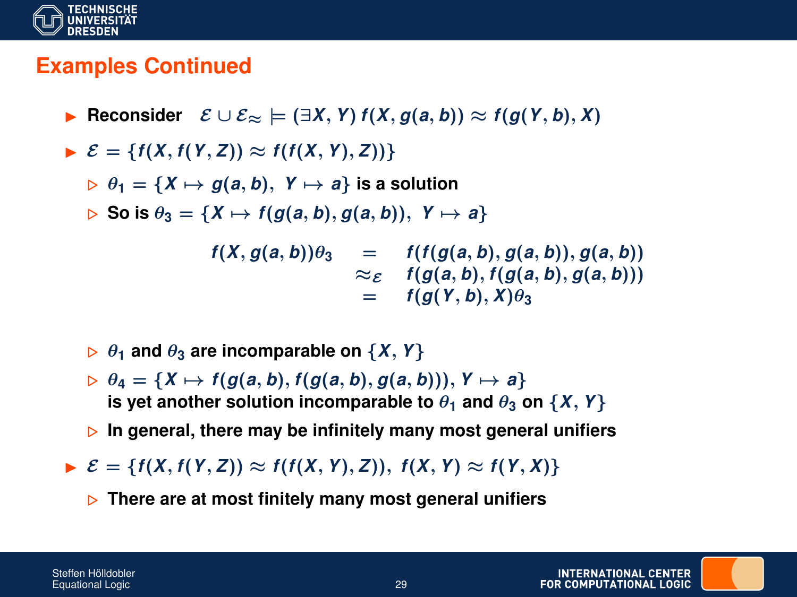

#### **Examples Continued**

**► Reconsider**  $\mathcal{E} \cup \mathcal{E}_{\approx} \models (\exists X, Y) f(X, g(a, b)) \approx f(g(Y, b), X)$ 

 $\triangleright$   $\mathcal{E} = \{f(X, f(Y, Z)) \approx f(f(X, Y), Z)\}$ 

 $\triangleright$   $\theta_1 = \{X \mapsto q(a, b), Y \mapsto a\}$  is a solution

 $\triangleright$  So is  $\theta_3 = \{X \mapsto f(g(a, b), g(a, b)), Y \mapsto a\}$ 

 $f(X, g(a, b))\theta_3 = f(f(g(a, b), g(a, b)), g(a, b))$  $\approx$  *f* (*g*(*a*, *b*), *f*(*g*(*a*, *b*), *g*(*a*, *b*)))  $= f(g(Y,b), X)\theta_3$ 

- $\triangleright$   $\theta_1$  and  $\theta_3$  are incomparable on  $\{X, Y\}$
- $\triangleright \theta_4 = \{X \mapsto f(g(a, b), f(g(a, b), g(a, b))), Y \mapsto a\}$ **is yet another solution incomparable to**  $\theta_1$  **and**  $\theta_3$  **on {***X***,** *Y***}**
- . **In general, there may be infinitely many most general unifiers**
- $\triangleright$   $\mathcal{E} = \{f(X, f(Y, Z)) \approx f(f(X, Y), Z)\}, f(X, Y) \approx f(Y, X)\}$ 
	- $\triangleright$  There are at most finitely many most general unifiers

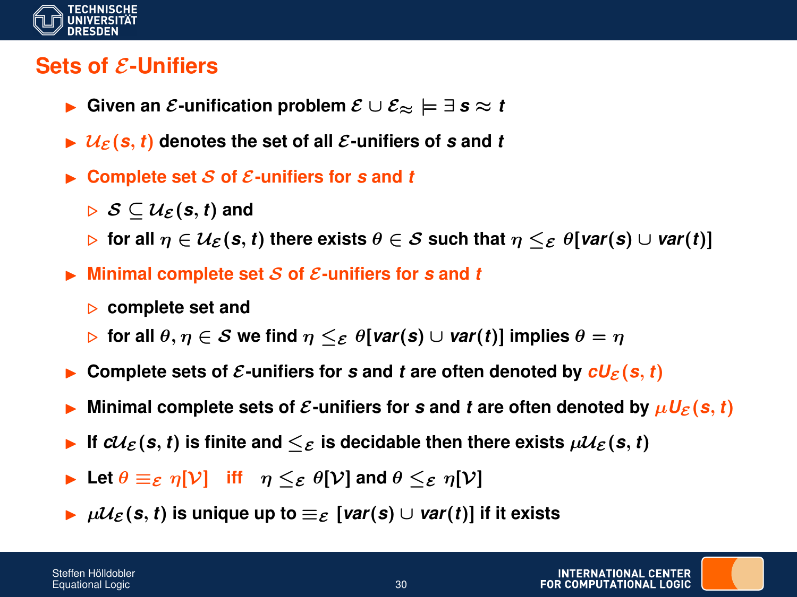

#### **Sets of** E**-Unifiers**

- I **Given an** E**-unification problem** E ∪ E<sup>≈</sup> |= ∃ *s* ≈ *t*
- $\blacktriangleright$   $\mathcal{U}_{\varepsilon}(s, t)$  denotes the set of all  $\varepsilon$ -unifiers of s and t
- $\triangleright$  Complete set S of E-unifiers for s and t

 $\triangleright$  S  $\subset \mathcal{U}_{\mathcal{E}}(\mathbf{s}, t)$  and

- $\triangleright$  for all  $\eta \in \mathcal{U}_{\mathcal{E}}(\mathbf{s}, t)$  there exists  $\theta \in \mathcal{S}$  such that  $\eta \leq_{\mathcal{E}} \theta$ [*var*(*s*)  $\cup$  *var*(*t*)]
- **Minimal complete set** S of  $\mathcal{E}$ -unifiers for s and t
	- . **complete set and**
	- $\triangleright$  for all  $\theta, \eta \in S$  we find  $\eta \leq_{\mathcal{E}} \theta$ [*var*(*s*)  $\cup$  *var*(*t*)] implies  $\theta = \eta$
- Complete sets of  $\mathcal{E}$ -unifiers for s and t are often denoted by  $cU_{\mathcal{E}}(s, t)$
- Minimal complete sets of  $\mathcal{E}$ -unifiers for s and t are often denoted by  $\mu U_{\mathcal{E}}(s, t)$
- If  $cU_{\mathcal{E}}(s,t)$  is finite and  $\leq_{\mathcal{E}}$  is decidable then there exists  $\mu\mathcal{U}_{\mathcal{E}}(s,t)$
- **I** Let  $\theta \equiv_{\mathcal{E}} \eta[\mathcal{V}]$  iff  $\eta \leq_{\mathcal{E}} \theta[\mathcal{V}]$  and  $\theta \leq_{\mathcal{E}} \eta[\mathcal{V}]$
- $\triangleright$   $\mu\mathcal{U}_{\mathcal{E}}(s,t)$  is unique up to  $\equiv_{\mathcal{E}}$  [*var*(*s*) ∪ *var*(*t*)] if it exists

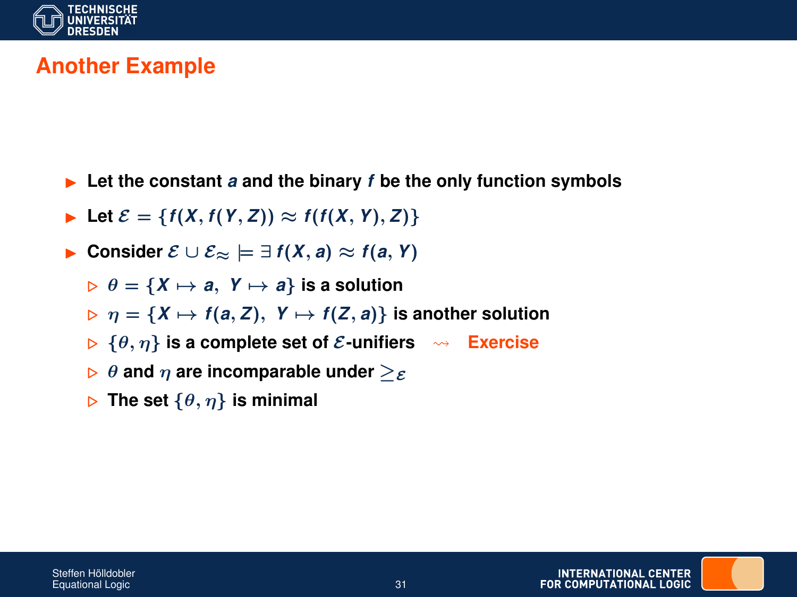

## **Another Example**

- $\blacktriangleright$  Let the constant *a* and the binary *f* be the only function symbols
- ▶ Let  $\mathcal{E} = \{f(X, f(Y, Z)) \approx f(f(X, Y), Z)\}$
- **► Consider**  $\mathcal{E} \cup \mathcal{E}_{\approx} \models \exists f(X, a) \approx f(a, Y)$ 
	- $\triangleright$   $\theta = \{X \mapsto a, Y \mapsto a\}$  is a solution
	- $\triangleright$   $\eta = \{X \mapsto f(a, Z), Y \mapsto f(Z, a)\}$  is another solution
	- $\triangleright$  { $\theta$ ,  $\eta$ } **is a complete set of**  $\mathcal{E}$ **-unifiers**  $\rightsquigarrow$  **Exercise**
	- $\triangleright$   $\theta$  and  $\eta$  are incomparable under  $\triangleright$ <sub>E</sub>
	- $\triangleright$  The set  $\{\theta, \eta\}$  is minimal

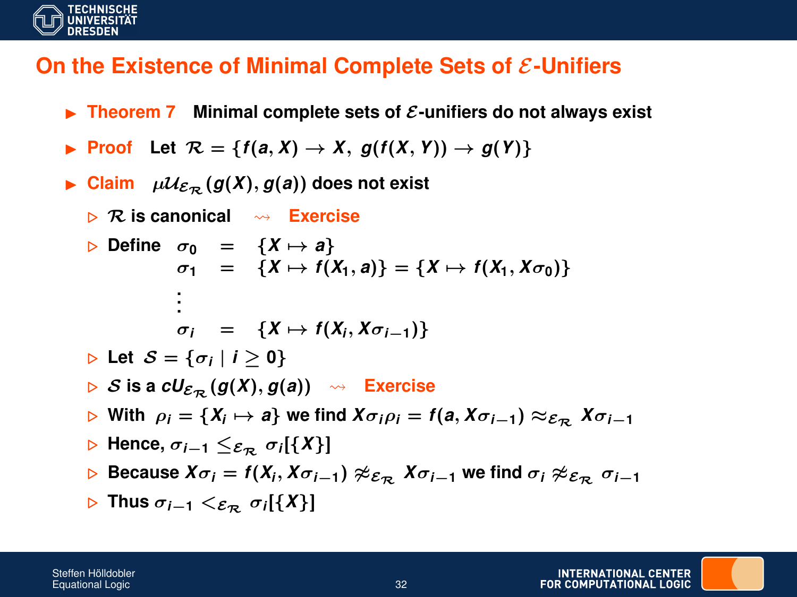

### **On the Existence of Minimal Complete Sets of**  $\mathcal{E}\text{-Unifiers}$

- **FILED FIRM** Theorem 7 Minimal complete sets of  $\mathcal{E}$ -unifiers do not always exist
- **Proof** Let  $\mathcal{R} = \{f(a, X) \to X, g(f(X, Y)) \to g(Y)\}$
- $\blacktriangleright$  Claim  $\mu \mathcal{U}_{\mathcal{E}_{\mathcal{P}}}(g(X), g(a))$  does not exist
	- $\triangleright$  R is canonical  $\rightsquigarrow$  Exercise
	- $\triangleright$  Define  $\sigma_0 = \{X \mapsto a\}$  $\sigma_1$  = {*X*  $\mapsto$  *f*(*X*<sub>1</sub>, *a*)} = {*X*  $\mapsto$  *f*(*X*<sub>1</sub>, *X* $\sigma_0$ )} **. . .**  $\sigma_i$  = {*X*  $\mapsto$  *f*(*X<sub>i</sub>*, *X* $\sigma_{i-1}$ )}  $\triangleright$  Let  $\mathcal{S} = {\sigma_i | i \geq 0}$  $\triangleright$  *S* is a  $cU_{\mathcal{E}_{\mathcal{D}}}(g(X), g(a)) \rightsquigarrow$  Exercise  $\triangleright$  With  $\rho_i = \{X_i \mapsto a\}$  we find  $X\sigma_i\rho_i = f(a, X\sigma_{i-1}) \approx_{\mathcal{E}_{\mathcal{R}}} X\sigma_{i-1}$ . **Hence,** σ*i*−**<sup>1</sup>** ≤E<sup>R</sup> σ*<sup>i</sup>* [{*X*}]  $\triangleright$  Because *X*σ*i* = *f*(*X<sub>i</sub>*, *Xσ*<sub>*i*−1</sub>)  $\not\approx$ ε $_{\mathcal{R}}$  *Xσ*<sub>*i*−1</sub> we find *σi*  $\not\approx$ ε $_{\mathcal{R}}$  *σi*−1 . **Thus** σ*i*−**<sup>1</sup>** <E<sup>R</sup> σ*<sup>i</sup>* [{*X*}]

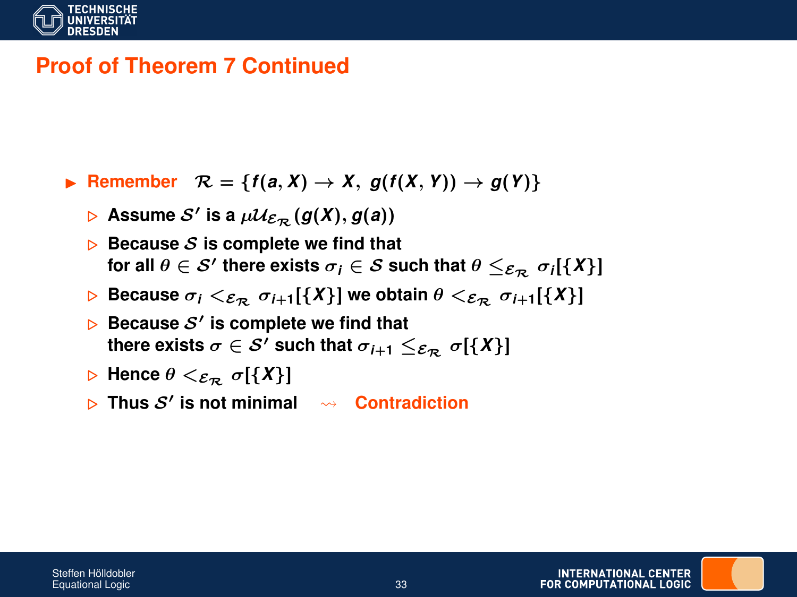

### **Proof of Theorem 7 Continued**

- **Example EX**  $\mathcal{R} = \{f(a, X) \to X, g(f(X, Y)) \to g(Y)\}$ 
	- $\triangleright$   $\,$  Assume  $\mathcal{S}'$  is a  $\mu \mathcal{U}_{\mathcal{E}_{\mathcal{R}}}(g(X), g(a))$
	- $\triangleright$  Because S is complete we find that  $\textsf{for all } \theta \in \mathcal{S}' \textsf{ there exists } \sigma_i \in \mathcal{S} \textsf{ such that } \theta \leq_{\mathcal{E}_{\mathcal{R}}} \sigma_i[\{X\}]$
	- **Because**  $\sigma_i <_{\mathcal{E}_{\mathcal{R}}} \sigma_{i+1}[\{X\}]$  we obtain  $\theta <_{\mathcal{E}_{\mathcal{R}}} \sigma_{i+1}[\{X\}]$
	- $\triangleright$  Because  $\mathcal{S}'$  is complete we find that **there exists**  $\sigma \in \mathcal{S}'$  such that  $\sigma_{i+1} \leq_{\mathcal{E}_{\mathcal{D}}} \sigma[\{X\}]$
	- $\triangleright$  Hence  $\theta \leq_{\mathcal{E}_{\mathcal{D}}} \sigma[\{X\}]$
	- $\triangleright$  Thus  $S'$  is not minimal  $\rightsquigarrow$  Contradiction



INTERNATIONAL CENTER **FOR COMPLITATIONAL LOGIC**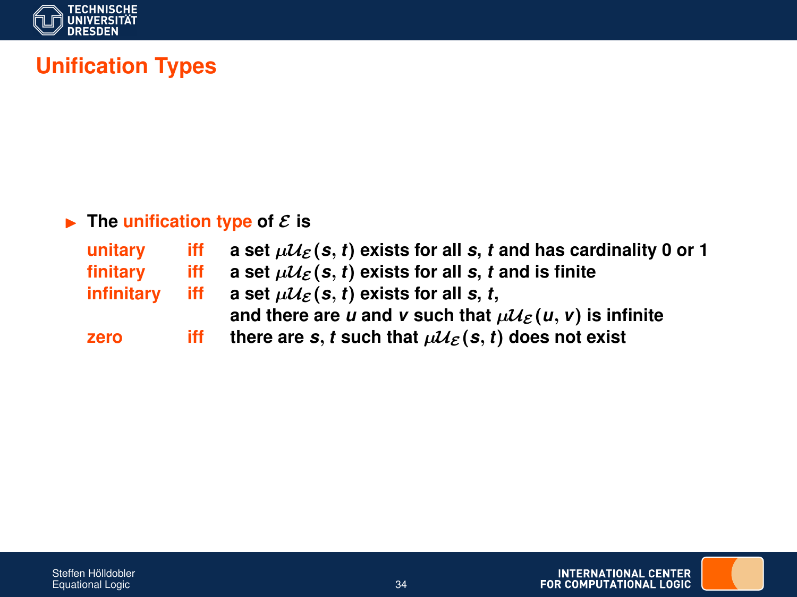

## **Unification Types**

#### $\blacktriangleright$  The unification type of  $\mathcal{E}$  is

| unitary    | iff | a set $\mu\mathcal{U}_{\mathcal{E}}(s, t)$ exists for all s, t and has cardinality 0 or 1 |
|------------|-----|-------------------------------------------------------------------------------------------|
| finitary   | iff | a set $\mu\mathcal{U}_{\mathcal{E}}(s, t)$ exists for all s, t and is finite              |
| infinitary | iff | a set $\mu\mathcal{U}_{\mathcal{E}}(s, t)$ exists for all s, t,                           |
|            |     | and there are u and v such that $\mu\mathcal{U}_{\mathcal{E}}(u, v)$ is infinite          |
| zero       | iff | there are s, t such that $\mu\mathcal{U}_{\mathcal{E}}(s, t)$ does not exist              |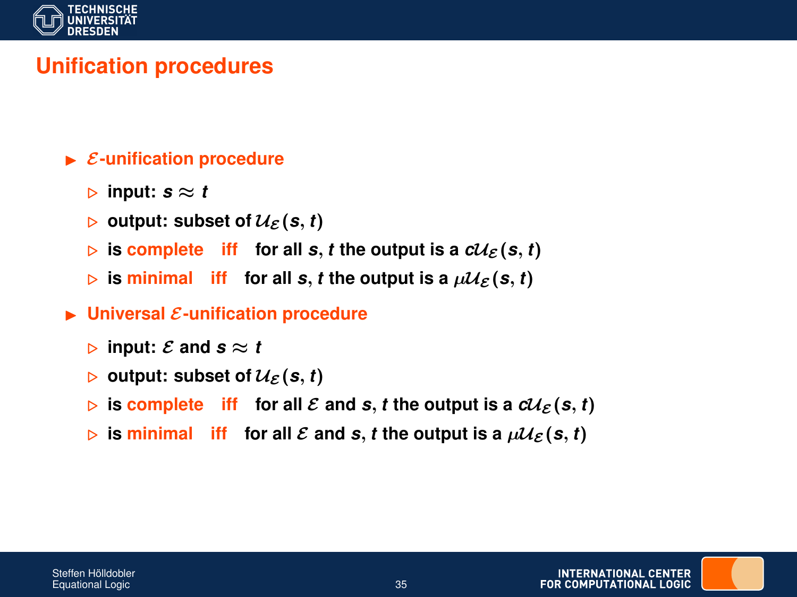

### **Unification procedures**

#### $\blacktriangleright$  *E*-unification procedure

- $\triangleright$  input:  $s \approx t$
- $\triangleright$  output: subset of  $\mathcal{U}_{\mathcal{E}}(s, t)$
- $\triangleright$  is complete iff for all *s*, *t* the output is a  $cU_{\mathcal{E}}(s, t)$
- $\triangleright$  is minimal iff for all *s*, *t* the output is a  $\mu\mathcal{U}_{\mathcal{E}}(s,t)$
- $\blacktriangleright$  Universal  $\mathcal{E}\text{-unification procedure}$ 
	- $\triangleright$  input: E and  $s \approx t$
	- $\triangleright$  output: subset of  $\mathcal{U}_{\mathcal{E}}(s, t)$
	- $\triangleright$  is complete iff for all E and s, t the output is a  $cU_{\mathcal{E}}(s, t)$
	- $\triangleright$  is minimal iff for all E and s, t the output is a  $\mu U_{\mathcal{E}}(s, t)$

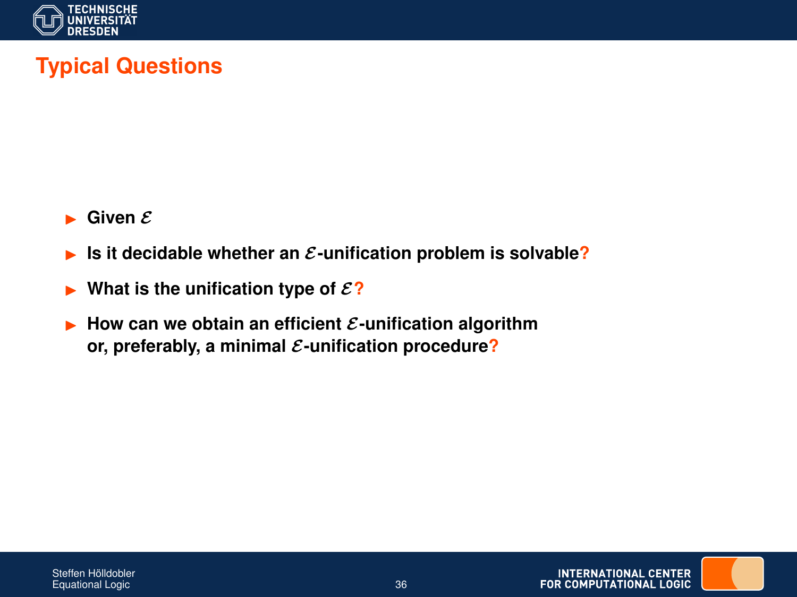

## **Typical Questions**

- $\blacktriangleright$  Given  $\mathcal E$
- Is it decidable whether an  $\mathcal{E}$ -unification problem is solvable?
- $\triangleright$  What is the unification type of  $\mathcal{E}$ ?
- $\blacktriangleright$  How can we obtain an efficient  $\mathcal{E}\text{-}\text{unification algorithm}$ **or, preferably, a minimal** E**-unification procedure?**

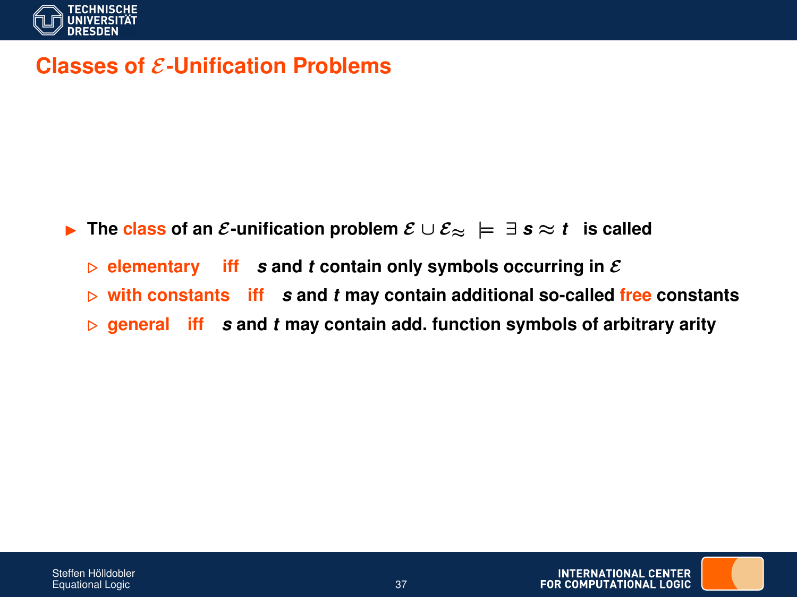

#### **Classes of E-Unification Problems**

- **►** The class of an *E*-unification problem  $E \cup E_{\infty}$   $\models \exists s \approx t$  is called
	- $\triangleright$  **elementary** iff *s* and *t* contain only symbols occurring in  $\mathcal{E}$
	- $\triangleright$  with constants iff s and *t* may contain additional so-called free constants
	- $\triangleright$  general iff *s* and *t* may contain add. function symbols of arbitrary arity

**INTERNATIONAL CENTER FOR COMPUTATIONAL LOGIC**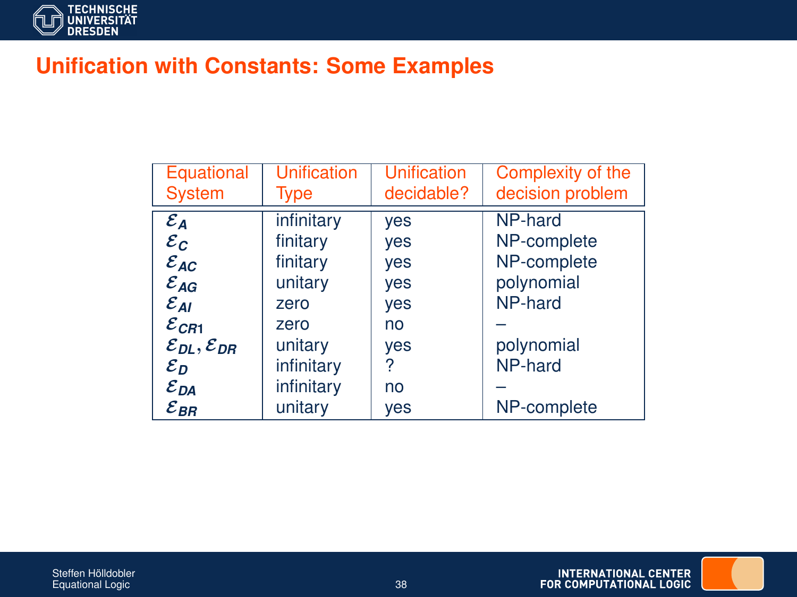

### **Unification with Constants: Some Examples**

| Equational                           | <b>Unification</b> | <b>Unification</b> | Complexity of the |
|--------------------------------------|--------------------|--------------------|-------------------|
| <b>System</b>                        | Type               | decidable?         | decision problem  |
| $\varepsilon_A$                      | infinitary         | yes                | NP-hard           |
| $\varepsilon_c$                      | finitary           | yes                | NP-complete       |
| $\varepsilon_{AC}$                   | finitary           | yes                | NP-complete       |
| $\mathcal{E}_{AG}$                   | unitary            | yes                | polynomial        |
| $\varepsilon_{Al}$                   | zero               | yes                | NP-hard           |
| $\varepsilon_{\textit{CR1}}$         | zero               | no                 |                   |
| $\mathcal{E}_{DL}, \mathcal{E}_{DR}$ | unitary            | yes                | polynomial        |
| $\varepsilon_{\scriptscriptstyle D}$ | infinitary         | ?                  | NP-hard           |
| $\varepsilon_{DA}$                   | infinitary         | no                 |                   |
| $\mathcal{E}_{\mathsf{BR}}$          | unitary            | ves                | NP-complete       |



INTERNATIONAL CENTER<br>FOR COMPUTATIONAL LOGIC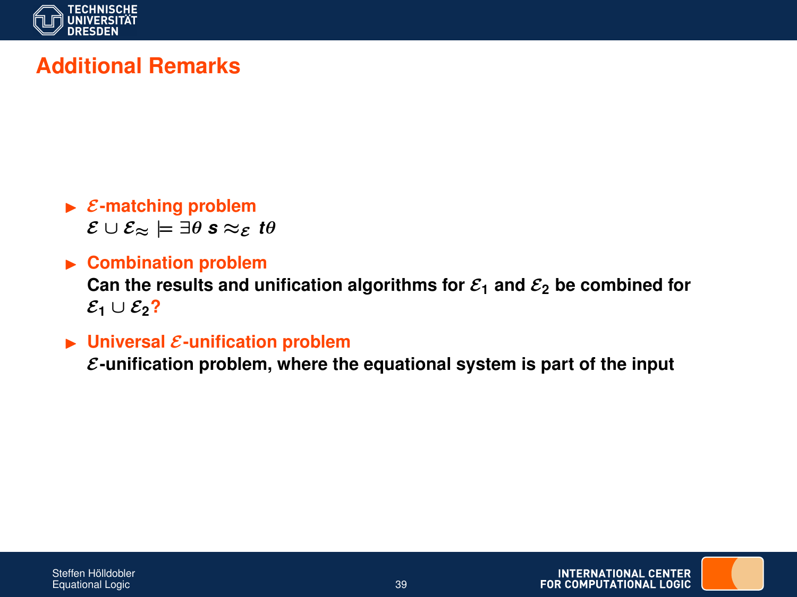

## **Additional Remarks**

 $\blacktriangleright$  *E*-matching problem  $\mathcal{E} \cup \mathcal{E}_{\approx} \models \exists \theta \; \mathbf{s} \approx_{\mathcal{E}} \mathbf{t} \theta$ 

#### **EXECOMPTED** Combination problem Can the results and unification algorithms for  $\mathcal{E}_1$  and  $\mathcal{E}_2$  be combined for  $\mathcal{E}_1 \cup \mathcal{E}_2$ ?

#### $\blacktriangleright$  Universal  $\mathcal E$ -unification problem

E**-unification problem, where the equational system is part of the input**

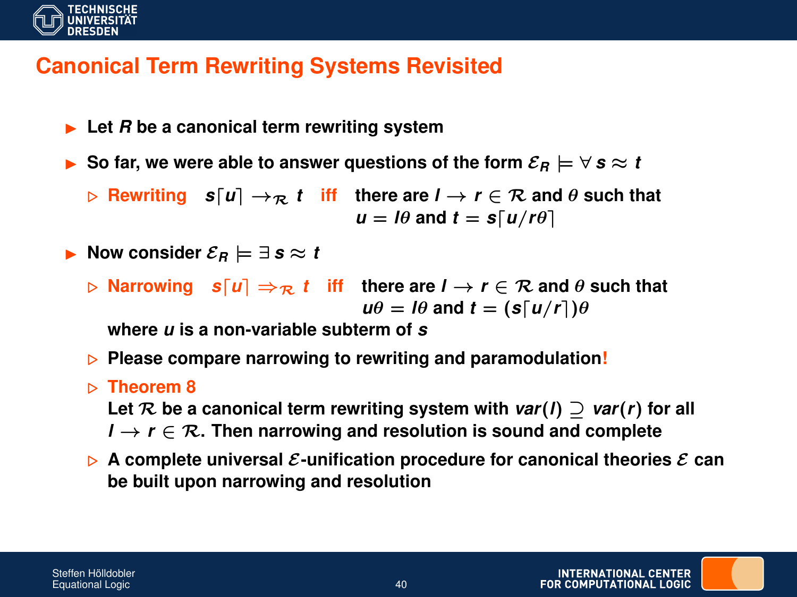

### **Canonical Term Rewriting Systems Revisited**

 $\blacktriangleright$  Let *R* be a canonical term rewriting system

**►** So far, we were able to answer questions of the form  $\mathcal{E}_B \models \forall s \approx t$ 

 $\triangleright$  **Rewriting**  $s[u] \rightarrow_{\mathcal{R}} t$  iff there are  $l \rightarrow r \in \mathcal{R}$  and  $\theta$  such that  $u = \theta$  and  $t = s \lceil u/r\theta \rceil$ 

$$
\blacktriangleright \text{ Now consider } \mathcal{E}_R \models \exists \text{ } s \approx t
$$

 $\triangleright$  **Narrowing**  $s[u] \Rightarrow_{\mathcal{R}} t$  iff there are  $l \rightarrow r \in \mathcal{R}$  and  $\theta$  such that  $u\theta = I\theta$  and  $t = (s[u/r])\theta$ 

**where** *u* **is a non-variable subterm of** *s*

- **Please compare narrowing to rewriting and paramodulation!**
- . **Theorem 8**

Let  $\mathcal{R}$  be a canonical term rewriting system with  $var(I) \supset var(r)$  for all

- *l* → *r* ∈ R**. Then narrowing and resolution is sound and complete**
- $\triangleright$  A complete universal  $\mathcal{E}$ -unification procedure for canonical theories  $\mathcal{E}$  can **be built upon narrowing and resolution**

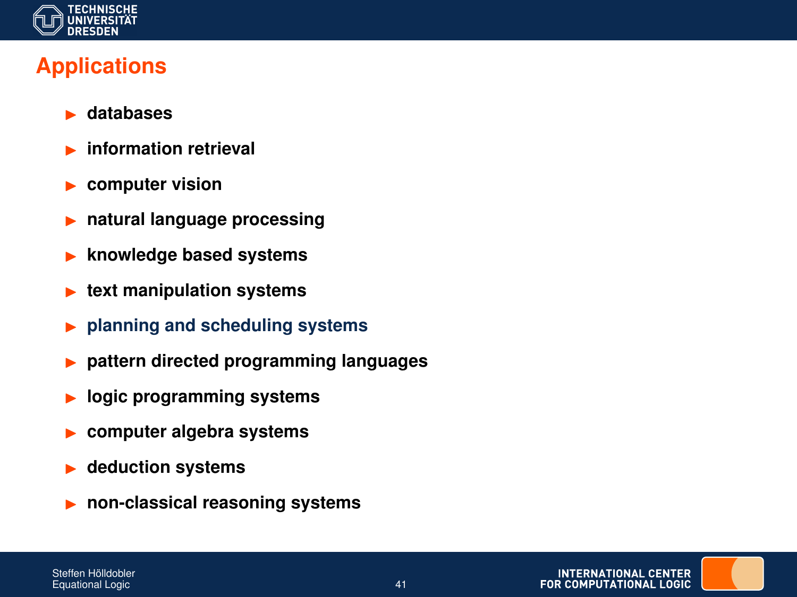

## **Applications**

- I **databases**
- I **information retrieval**
- computer vision
- I **natural language processing**
- I **knowledge based systems**
- **Ext manipulation systems**
- I **planning and scheduling systems**
- I **pattern directed programming languages**
- logic programming systems
- I **computer algebra systems**
- I **deduction systems**
- I **non-classical reasoning systems**

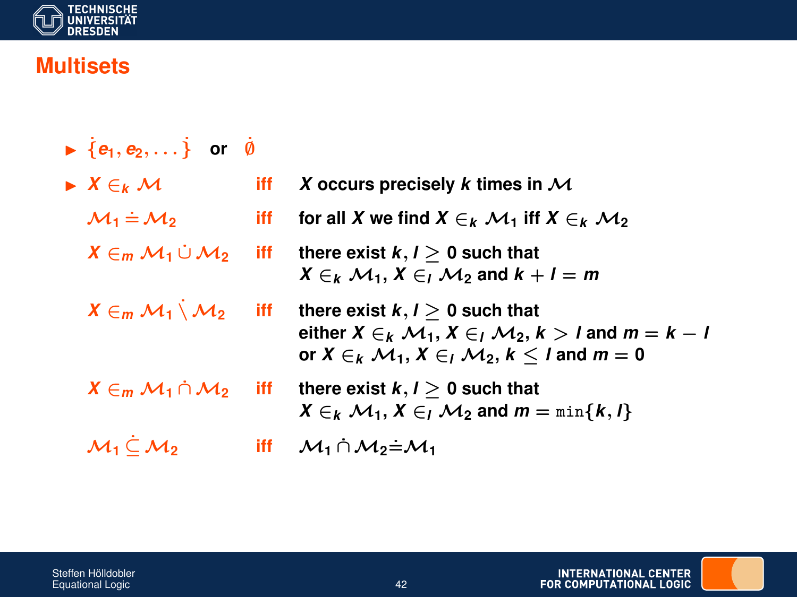

## **Multisets**

| $\blacktriangleright \{e_1, e_2, \dots\}$ or $\emptyset$ |     |                                                                                                                                                                                                                                                       |
|----------------------------------------------------------|-----|-------------------------------------------------------------------------------------------------------------------------------------------------------------------------------------------------------------------------------------------------------|
| $\blacktriangleright$ $X \in_k \mathcal{M}$              | iff | X occurs precisely k times in $\mathcal M$                                                                                                                                                                                                            |
| $\mathcal{M}_1 \doteq \mathcal{M}_2$                     | iff | for all X we find $X \in_k \mathcal{M}_1$ iff $X \in_k \mathcal{M}_2$                                                                                                                                                                                 |
|                                                          |     | $X \in M_1 \cup M_2$ iff there exist $k, l > 0$ such that<br>$X \in_k \mathcal{M}_1, X \in_k \mathcal{M}_2$ and $k + l = m$                                                                                                                           |
|                                                          |     | $X \in_m \mathcal{M}_1 \setminus \mathcal{M}_2$ iff there exist $k, l \geq 0$ such that<br>either $X \in_k \mathcal{M}_1, X \in_k \mathcal{M}_2, k > k$ and $m = k - k$<br>or $X \in_k \mathcal{M}_1$ , $X \in_l \mathcal{M}_2$ , $k < l$ and $m = 0$ |
|                                                          |     | $X \in_m \mathcal{M}_1 \cap \mathcal{M}_2$ iff there exist $k, l > 0$ such that<br>$X \in_k \mathcal{M}_1, X \in_l \mathcal{M}_2$ and $m = \min\{k, l\}$                                                                                              |
| $M_1 \subset M_2$                                        | iff | $\mathcal{M}_1 \cap \mathcal{M}_2 = \mathcal{M}_1$                                                                                                                                                                                                    |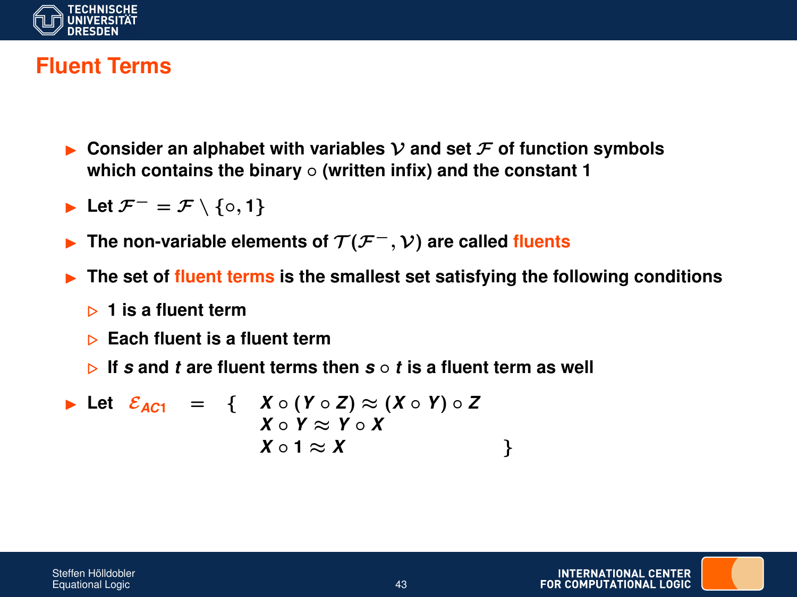

#### **Fluent Terms**

- Consider an alphabet with variables  $\mathcal V$  and set  $\mathcal F$  of function symbols **which contains the binary** ◦ **(written infix) and the constant 1**
- **►** Let  $\mathcal{F}^- = \mathcal{F} \setminus \{0, 1\}$
- The non-variable elements of  $T(F^{-}, V)$  are called fluents
- I **The set of fluent terms is the smallest set satisfying the following conditions**
	- . **1 is a fluent term**
	- . **Each fluent is a fluent term**
	- $\triangleright$  If *s* and *t* are fluent terms then  $s \circ t$  is a fluent term as well

Let 
$$
\mathcal{E}_{AC1}
$$
 = {  $X \circ (Y \circ Z) \approx (X \circ Y) \circ Z$   
\n $X \circ Y \approx Y \circ X$   
\n $X \circ 1 \approx X$  }

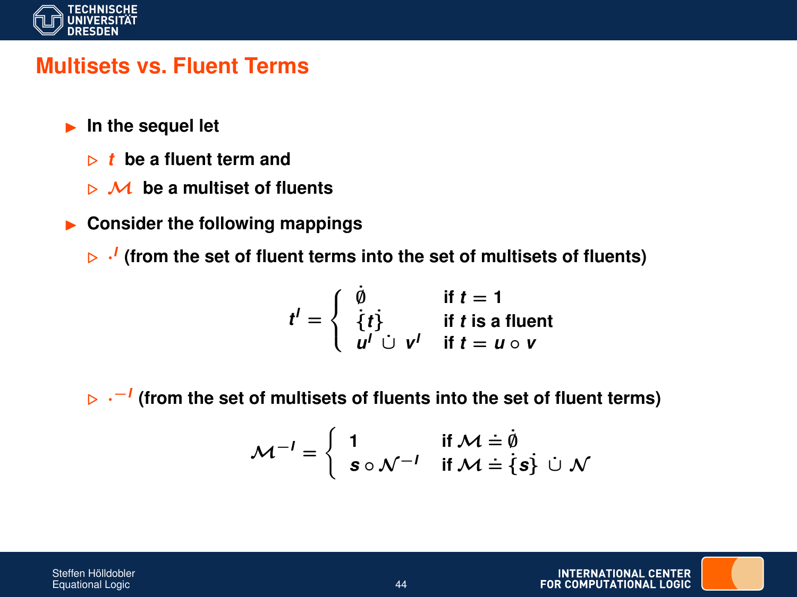

#### **Multisets vs. Fluent Terms**

- **In the sequel let** 
	- . *t* **be a fluent term and**
	- $\triangleright$  M be a multiset of fluents
- **EXECONSIDER THE FOLLOWING MADPINGS**

. · *I* **(from the set of fluent terms into the set of multisets of fluents)**

$$
t' = \begin{cases} \n\dot{\emptyset} & \text{if } t = 1 \\ \n\dot{\{t\}} & \text{if } t \text{ is a fluent} \\ \n\begin{array}{ccc} u' & \dot{\cup} & v' \\ \n\end{array} & \text{if } t = u \circ v \n\end{cases}
$$

. ·−*<sup>I</sup>* **(from the set of multisets of fluents into the set of fluent terms)**

$$
\mathcal{M}^{-1} = \left\{ \begin{array}{ll} 1 & \text{if } \mathcal{M} = \dot{\emptyset} \\ \mathbf{s} \circ \mathcal{N}^{-1} & \text{if } \mathcal{M} = \{ \mathbf{s} \} \; \dot{\cup} \; \mathcal{N} \end{array} \right.
$$

Steffen Hölldobler Equational Logic 44

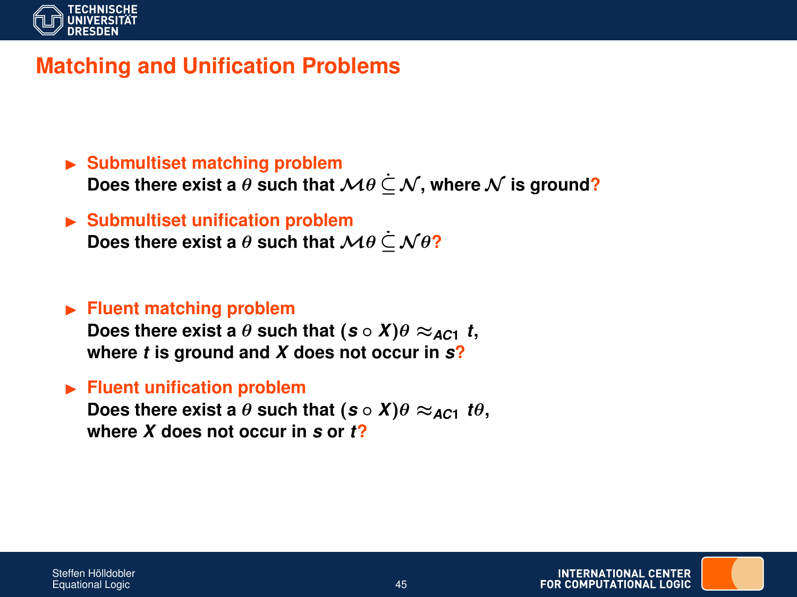

### **Matching and Unification Problems**

- ► Submultiset matching problem Does there exist a  $\theta$  such that  $\mathcal{M}\theta \subseteq \mathcal{N}$ , where  $\mathcal N$  is ground?
- I **Submultiset unification problem Does there exist a**  $\theta$  **such that**  $\mathcal{M}\theta \subset \mathcal{N}\theta$ ?

#### **Fluent matching problem**

**Does there exist a**  $\theta$  **such that**  $(s \circ X)\theta \approx_{AC1} t$ , **where** *t* **is ground and** *X* **does not occur in** *s***?**

**Fluent unification problem** 

**Does there exist a**  $\theta$  **such that**  $(s \circ X)\theta \approx_{AC1} t\theta$ , **where** *X* **does not occur in** *s* **or** *t***?**

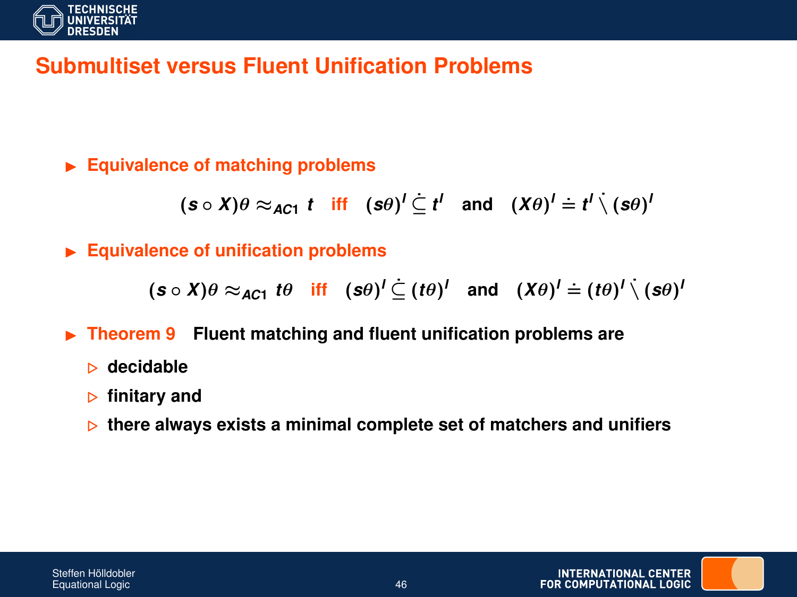

### **Submultiset versus Fluent Unification Problems**

**Equivalence of matching problems** 

$$
(\mathbf{s} \circ \mathbf{X})\theta \approx_{\mathbf{AC1}} t \quad \text{iff} \quad (\mathbf{s}\theta)^{l} \subseteq t^{l} \quad \text{and} \quad (\mathbf{X}\theta)^{l} \doteq t^{l} \setminus (\mathbf{s}\theta)^{l}
$$

**Equivalence of unification problems** 

 $({\bm{s}} \circ {\bm{X}}) \theta \approx_{\bm{AC} 1} t \theta \quad \text{iff} \quad ({\bm{s}} \theta)^l \subseteq (t \theta)^l \quad \text{and} \quad ({\bm{X}} \theta)^l \doteq (t \theta)^l \setminus ({\bm{s}} \theta)^l$ 

- ▶ Theorem 9 Fluent matching and fluent unification problems are
	- . **decidable**
	- . **finitary and**
	- . **there always exists a minimal complete set of matchers and unifiers**